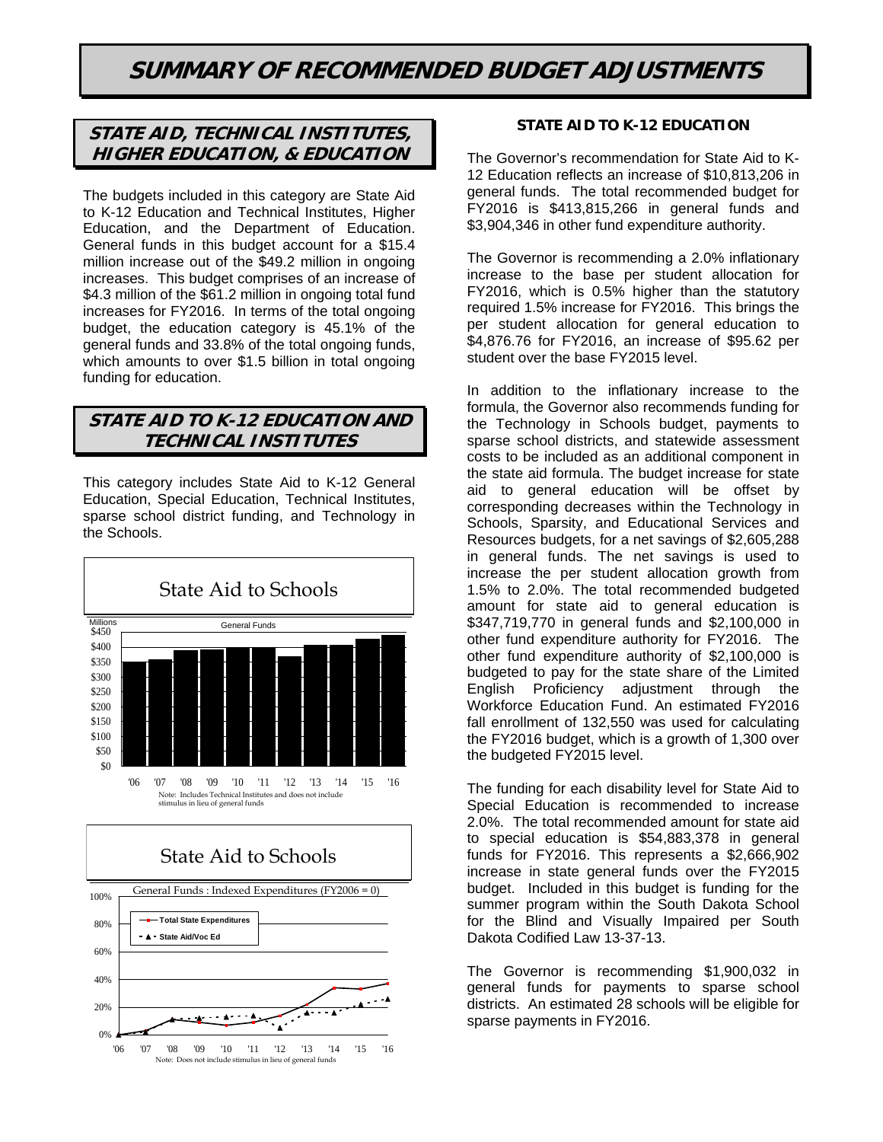# **SUMMARY OF RECOMMENDED BUDGET ADJUSTMENTS**

# **STATE AID, TECHNICAL INSTITUTES, HIGHER EDUCATION, & EDUCATION**

The budgets included in this category are State Aid to K-12 Education and Technical Institutes, Higher Education, and the Department of Education. General funds in this budget account for a \$15.4 million increase out of the \$49.2 million in ongoing increases. This budget comprises of an increase of \$4.3 million of the \$61.2 million in ongoing total fund increases for FY2016. In terms of the total ongoing budget, the education category is 45.1% of the general funds and 33.8% of the total ongoing funds, which amounts to over \$1.5 billion in total ongoing funding for education.

# **STATE AID TO K-12 EDUCATION AND TECHNICAL INSTITUTES**

This category includes State Aid to K-12 General Education, Special Education, Technical Institutes, sparse school district funding, and Technology in the Schools.





<sup>&#</sup>x27;06 '07 '08 '09 '10 '11 '12 '13 '14 '15 '16 Note: Does not include stimulus in lieu of general funds

# **STATE AID TO K-12 EDUCATION**

The Governor's recommendation for State Aid to K-12 Education reflects an increase of \$10,813,206 in general funds. The total recommended budget for FY2016 is \$413,815,266 in general funds and \$3,904,346 in other fund expenditure authority.

The Governor is recommending a 2.0% inflationary increase to the base per student allocation for FY2016, which is 0.5% higher than the statutory required 1.5% increase for FY2016. This brings the per student allocation for general education to \$4,876.76 for FY2016, an increase of \$95.62 per student over the base FY2015 level.

In addition to the inflationary increase to the formula, the Governor also recommends funding for the Technology in Schools budget, payments to sparse school districts, and statewide assessment costs to be included as an additional component in the state aid formula. The budget increase for state aid to general education will be offset by corresponding decreases within the Technology in Schools, Sparsity, and Educational Services and Resources budgets, for a net savings of \$2,605,288 in general funds. The net savings is used to increase the per student allocation growth from 1.5% to 2.0%. The total recommended budgeted amount for state aid to general education is \$347,719,770 in general funds and \$2,100,000 in other fund expenditure authority for FY2016. The other fund expenditure authority of \$2,100,000 is budgeted to pay for the state share of the Limited English Proficiency adjustment through the Workforce Education Fund. An estimated FY2016 fall enrollment of 132,550 was used for calculating the FY2016 budget, which is a growth of 1,300 over the budgeted FY2015 level.

The funding for each disability level for State Aid to Special Education is recommended to increase 2.0%. The total recommended amount for state aid to special education is \$54,883,378 in general funds for FY2016. This represents a \$2,666,902 increase in state general funds over the FY2015 budget. Included in this budget is funding for the summer program within the South Dakota School for the Blind and Visually Impaired per South Dakota Codified Law 13-37-13.

The Governor is recommending \$1,900,032 in general funds for payments to sparse school districts. An estimated 28 schools will be eligible for sparse payments in FY2016.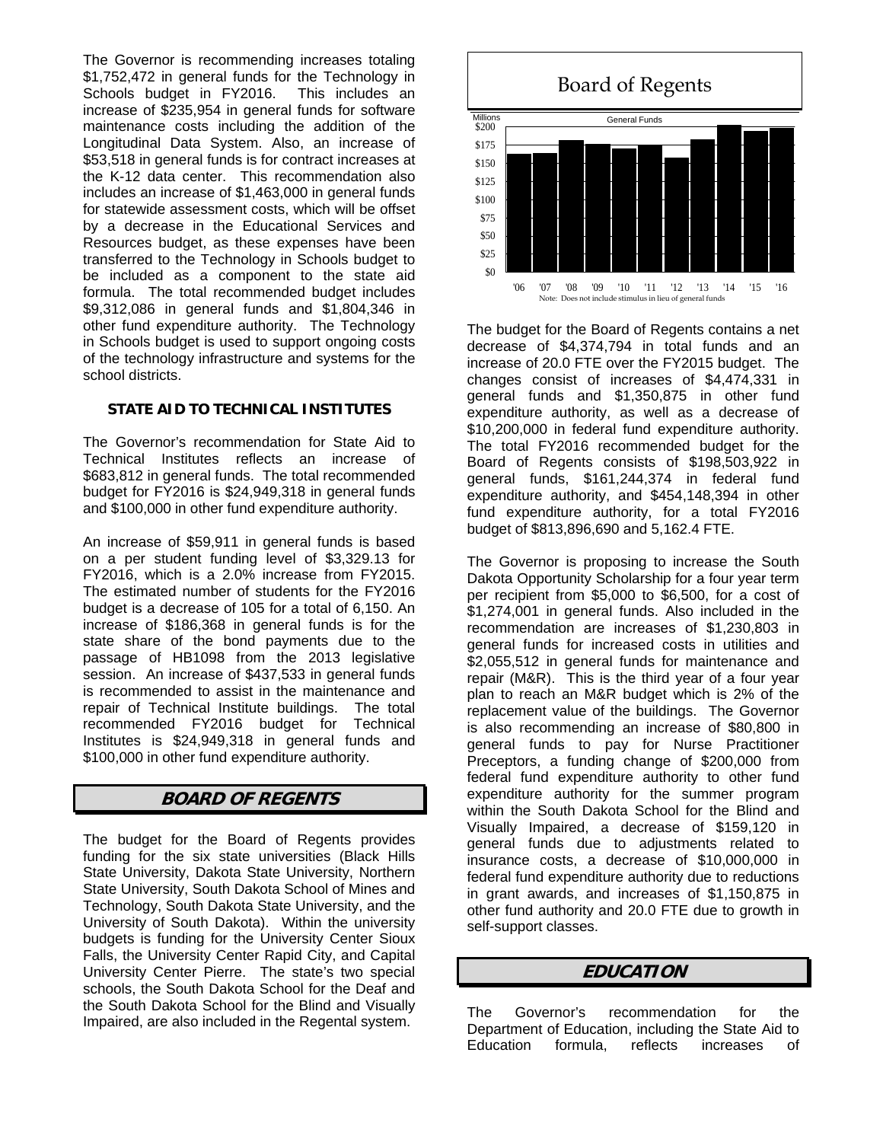The Governor is recommending increases totaling \$1,752,472 in general funds for the Technology in Schools budget in FY2016. This includes an increase of \$235,954 in general funds for software maintenance costs including the addition of the Longitudinal Data System. Also, an increase of \$53,518 in general funds is for contract increases at the K-12 data center. This recommendation also includes an increase of \$1,463,000 in general funds for statewide assessment costs, which will be offset by a decrease in the Educational Services and Resources budget, as these expenses have been transferred to the Technology in Schools budget to be included as a component to the state aid formula. The total recommended budget includes \$9,312,086 in general funds and \$1,804,346 in other fund expenditure authority. The Technology in Schools budget is used to support ongoing costs of the technology infrastructure and systems for the school districts.

# **STATE AID TO TECHNICAL INSTITUTES**

The Governor's recommendation for State Aid to Technical Institutes reflects an increase of \$683,812 in general funds. The total recommended budget for FY2016 is \$24,949,318 in general funds and \$100,000 in other fund expenditure authority.

An increase of \$59,911 in general funds is based on a per student funding level of \$3,329.13 for FY2016, which is a 2.0% increase from FY2015. The estimated number of students for the FY2016 budget is a decrease of 105 for a total of 6,150. An increase of \$186,368 in general funds is for the state share of the bond payments due to the passage of HB1098 from the 2013 legislative session. An increase of \$437,533 in general funds is recommended to assist in the maintenance and repair of Technical Institute buildings. The total recommended FY2016 budget for Technical Institutes is \$24,949,318 in general funds and \$100,000 in other fund expenditure authority.

# **BOARD OF REGENTS**

The budget for the Board of Regents provides funding for the six state universities (Black Hills State University, Dakota State University, Northern State University, South Dakota School of Mines and Technology, South Dakota State University, and the University of South Dakota). Within the university budgets is funding for the University Center Sioux Falls, the University Center Rapid City, and Capital University Center Pierre. The state's two special schools, the South Dakota School for the Deaf and the South Dakota School for the Blind and Visually Impaired, are also included in the Regental system.



The budget for the Board of Regents contains a net decrease of \$4,374,794 in total funds and an increase of 20.0 FTE over the FY2015 budget. The changes consist of increases of \$4,474,331 in general funds and \$1,350,875 in other fund expenditure authority, as well as a decrease of \$10,200,000 in federal fund expenditure authority. The total FY2016 recommended budget for the Board of Regents consists of \$198,503,922 in general funds, \$161,244,374 in federal fund expenditure authority, and \$454,148,394 in other fund expenditure authority, for a total FY2016 budget of \$813,896,690 and 5,162.4 FTE.

The Governor is proposing to increase the South Dakota Opportunity Scholarship for a four year term per recipient from \$5,000 to \$6,500, for a cost of \$1,274,001 in general funds. Also included in the recommendation are increases of \$1,230,803 in general funds for increased costs in utilities and \$2,055,512 in general funds for maintenance and repair (M&R). This is the third year of a four year plan to reach an M&R budget which is 2% of the replacement value of the buildings. The Governor is also recommending an increase of \$80,800 in general funds to pay for Nurse Practitioner Preceptors, a funding change of \$200,000 from federal fund expenditure authority to other fund expenditure authority for the summer program within the South Dakota School for the Blind and Visually Impaired, a decrease of \$159,120 in general funds due to adjustments related to insurance costs, a decrease of \$10,000,000 in federal fund expenditure authority due to reductions in grant awards, and increases of \$1,150,875 in other fund authority and 20.0 FTE due to growth in self-support classes.

# **EDUCATION**

The Governor's recommendation for the Department of Education, including the State Aid to Education formula, reflects increases of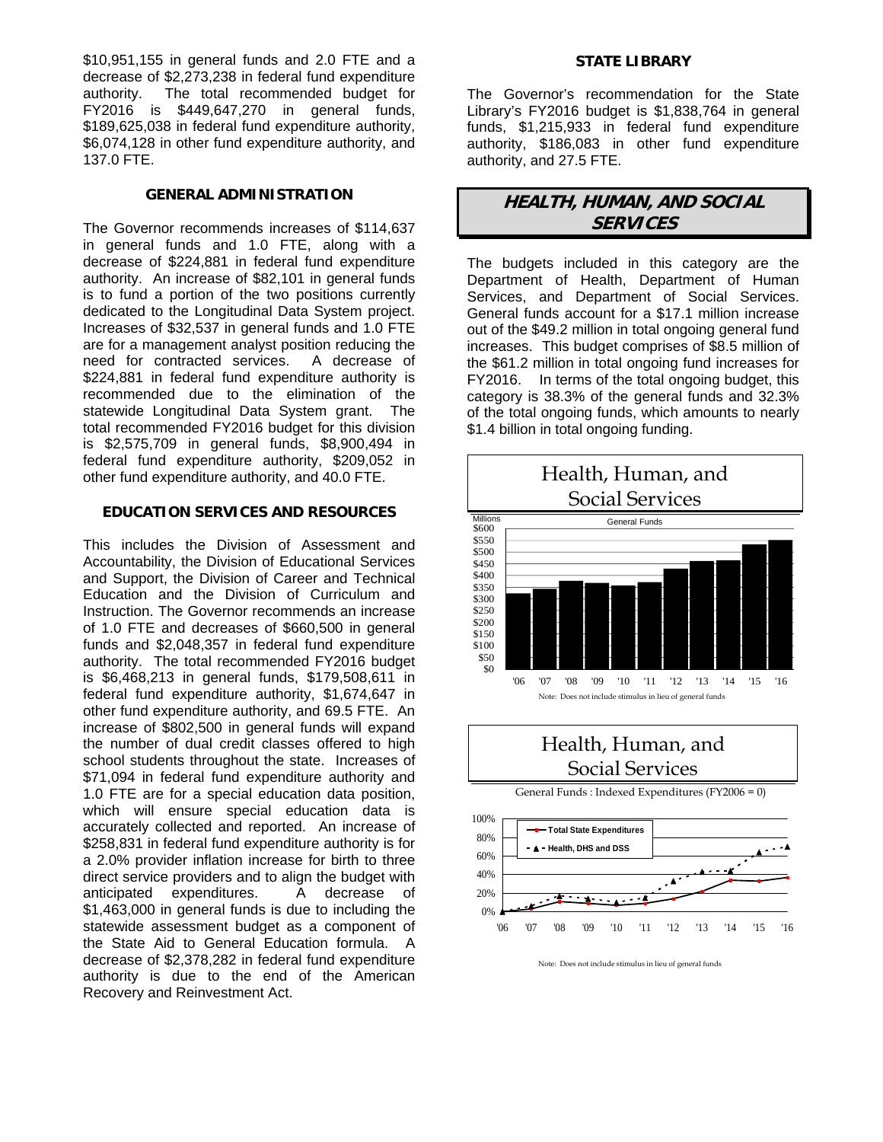\$10,951,155 in general funds and 2.0 FTE and a decrease of \$2,273,238 in federal fund expenditure authority. The total recommended budget for FY2016 is \$449,647,270 in general funds, \$189,625,038 in federal fund expenditure authority, \$6,074,128 in other fund expenditure authority, and 137.0 FTE.

### **GENERAL ADMINISTRATION**

The Governor recommends increases of \$114,637 in general funds and 1.0 FTE, along with a decrease of \$224,881 in federal fund expenditure authority. An increase of \$82,101 in general funds is to fund a portion of the two positions currently dedicated to the Longitudinal Data System project. Increases of \$32,537 in general funds and 1.0 FTE are for a management analyst position reducing the need for contracted services. A decrease of \$224,881 in federal fund expenditure authority is recommended due to the elimination of the statewide Longitudinal Data System grant. The total recommended FY2016 budget for this division is \$2,575,709 in general funds, \$8,900,494 in federal fund expenditure authority, \$209,052 in other fund expenditure authority, and 40.0 FTE.

# **EDUCATION SERVICES AND RESOURCES**

This includes the Division of Assessment and Accountability, the Division of Educational Services and Support, the Division of Career and Technical Education and the Division of Curriculum and Instruction. The Governor recommends an increase of 1.0 FTE and decreases of \$660,500 in general funds and \$2,048,357 in federal fund expenditure authority. The total recommended FY2016 budget is \$6,468,213 in general funds, \$179,508,611 in federal fund expenditure authority, \$1,674,647 in other fund expenditure authority, and 69.5 FTE. An increase of \$802,500 in general funds will expand the number of dual credit classes offered to high school students throughout the state. Increases of \$71,094 in federal fund expenditure authority and 1.0 FTE are for a special education data position, which will ensure special education data is accurately collected and reported. An increase of \$258,831 in federal fund expenditure authority is for a 2.0% provider inflation increase for birth to three direct service providers and to align the budget with anticipated expenditures. A decrease of \$1,463,000 in general funds is due to including the statewide assessment budget as a component of the State Aid to General Education formula. A decrease of \$2,378,282 in federal fund expenditure authority is due to the end of the American Recovery and Reinvestment Act.

#### **STATE LIBRARY**

The Governor's recommendation for the State Library's FY2016 budget is \$1,838,764 in general funds, \$1,215,933 in federal fund expenditure authority, \$186,083 in other fund expenditure authority, and 27.5 FTE.

# **HEALTH, HUMAN, AND SOCIAL SERVICES**

The budgets included in this category are the Department of Health, Department of Human Services, and Department of Social Services. General funds account for a \$17.1 million increase out of the \$49.2 million in total ongoing general fund increases. This budget comprises of \$8.5 million of the \$61.2 million in total ongoing fund increases for FY2016. In terms of the total ongoing budget, this category is 38.3% of the general funds and 32.3% of the total ongoing funds, which amounts to nearly \$1.4 billion in total ongoing funding.



Note: Does not include stimulus in lieu of general funds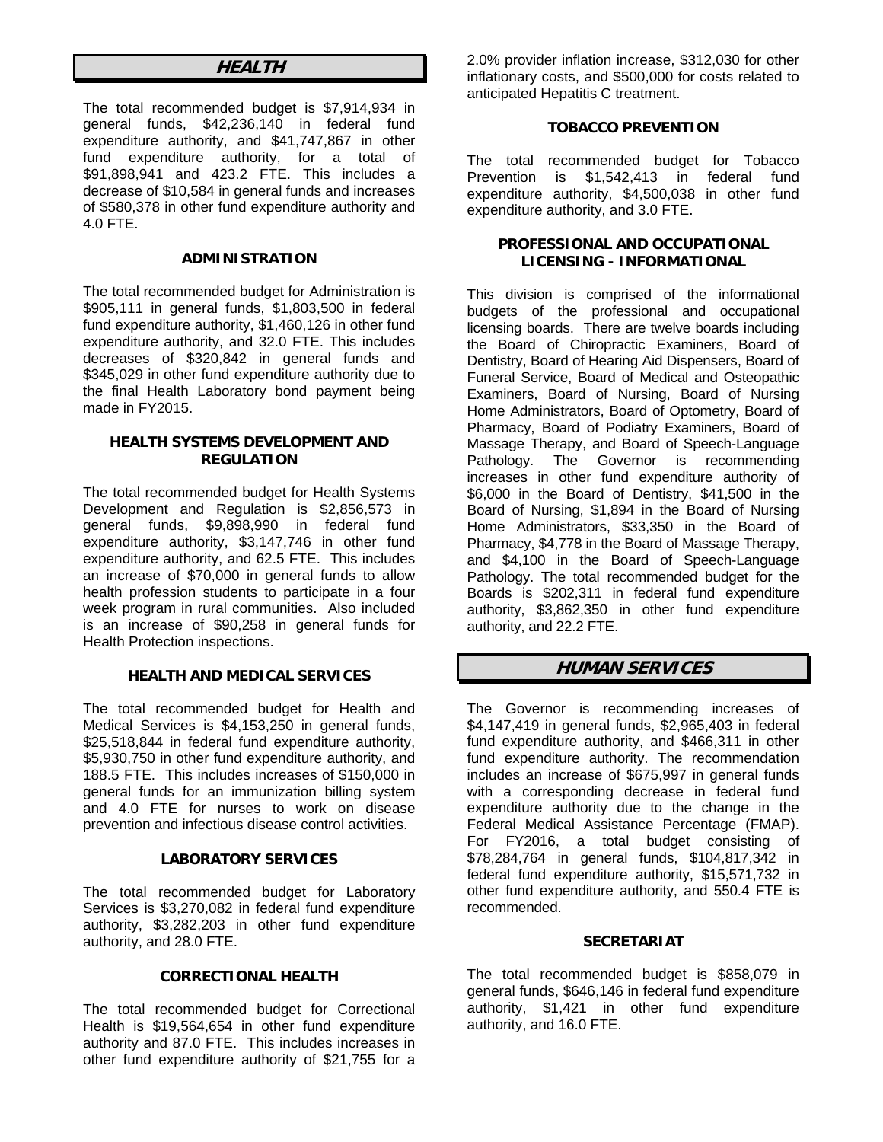# **HEALTH**

The total recommended budget is \$7,914,934 in general funds, \$42,236,140 in federal fund expenditure authority, and \$41,747,867 in other fund expenditure authority, for a total of \$91,898,941 and 423.2 FTE. This includes a decrease of \$10,584 in general funds and increases of \$580,378 in other fund expenditure authority and 4.0 FTE.

### **ADMINISTRATION**

The total recommended budget for Administration is \$905,111 in general funds, \$1,803,500 in federal fund expenditure authority, \$1,460,126 in other fund expenditure authority, and 32.0 FTE. This includes decreases of \$320,842 in general funds and \$345,029 in other fund expenditure authority due to the final Health Laboratory bond payment being made in FY2015.

#### **HEALTH SYSTEMS DEVELOPMENT AND REGULATION**

The total recommended budget for Health Systems Development and Regulation is \$2,856,573 in general funds, \$9,898,990 in federal fund expenditure authority, \$3,147,746 in other fund expenditure authority, and 62.5 FTE. This includes an increase of \$70,000 in general funds to allow health profession students to participate in a four week program in rural communities. Also included is an increase of \$90,258 in general funds for Health Protection inspections.

### **HEALTH AND MEDICAL SERVICES**

The total recommended budget for Health and Medical Services is \$4,153,250 in general funds, \$25,518,844 in federal fund expenditure authority, \$5,930,750 in other fund expenditure authority, and 188.5 FTE. This includes increases of \$150,000 in general funds for an immunization billing system and 4.0 FTE for nurses to work on disease prevention and infectious disease control activities.

### **LABORATORY SERVICES**

The total recommended budget for Laboratory Services is \$3,270,082 in federal fund expenditure authority, \$3,282,203 in other fund expenditure authority, and 28.0 FTE.

### **CORRECTIONAL HEALTH**

The total recommended budget for Correctional Health is \$19,564,654 in other fund expenditure authority and 87.0 FTE. This includes increases in other fund expenditure authority of \$21,755 for a

2.0% provider inflation increase, \$312,030 for other inflationary costs, and \$500,000 for costs related to anticipated Hepatitis C treatment.

# **TOBACCO PREVENTION**

The total recommended budget for Tobacco Prevention is \$1,542,413 in federal fund expenditure authority, \$4,500,038 in other fund expenditure authority, and 3.0 FTE.

### **PROFESSIONAL AND OCCUPATIONAL LICENSING - INFORMATIONAL**

This division is comprised of the informational budgets of the professional and occupational licensing boards. There are twelve boards including the Board of Chiropractic Examiners, Board of Dentistry, Board of Hearing Aid Dispensers, Board of Funeral Service, Board of Medical and Osteopathic Examiners, Board of Nursing, Board of Nursing Home Administrators, Board of Optometry, Board of Pharmacy, Board of Podiatry Examiners, Board of Massage Therapy, and Board of Speech-Language Pathology. The Governor is recommending increases in other fund expenditure authority of \$6,000 in the Board of Dentistry, \$41,500 in the Board of Nursing, \$1,894 in the Board of Nursing Home Administrators, \$33,350 in the Board of Pharmacy, \$4,778 in the Board of Massage Therapy, and \$4,100 in the Board of Speech-Language Pathology. The total recommended budget for the Boards is \$202,311 in federal fund expenditure authority, \$3,862,350 in other fund expenditure authority, and 22.2 FTE.

# **HUMAN SERVICES**

The Governor is recommending increases of \$4,147,419 in general funds, \$2,965,403 in federal fund expenditure authority, and \$466,311 in other fund expenditure authority. The recommendation includes an increase of \$675,997 in general funds with a corresponding decrease in federal fund expenditure authority due to the change in the Federal Medical Assistance Percentage (FMAP). For FY2016, a total budget consisting of \$78,284,764 in general funds, \$104,817,342 in federal fund expenditure authority, \$15,571,732 in other fund expenditure authority, and 550.4 FTE is recommended.

### **SECRETARIAT**

The total recommended budget is \$858,079 in general funds, \$646,146 in federal fund expenditure authority, \$1,421 in other fund expenditure authority, and 16.0 FTE.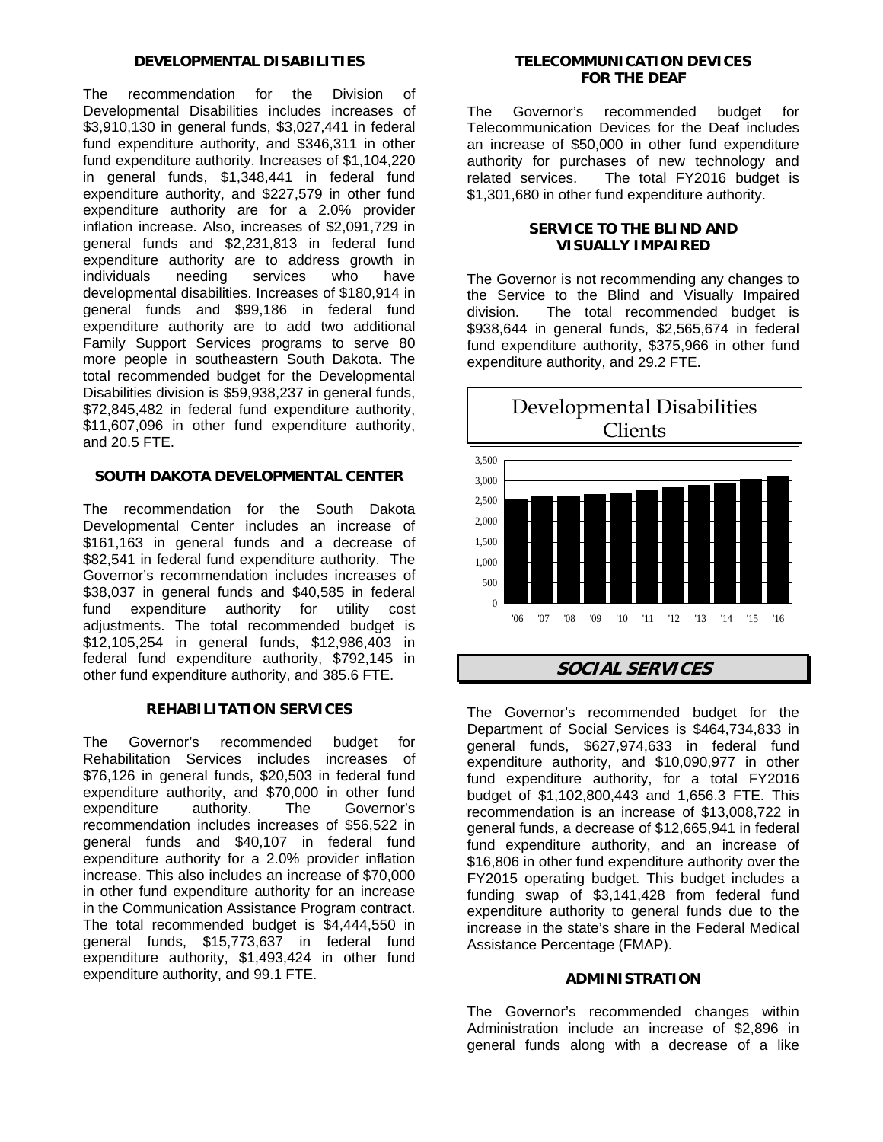### **DEVELOPMENTAL DISABILITIES**

The recommendation for the Division of Developmental Disabilities includes increases of \$3,910,130 in general funds, \$3,027,441 in federal fund expenditure authority, and \$346,311 in other fund expenditure authority. Increases of \$1,104,220 in general funds, \$1,348,441 in federal fund expenditure authority, and \$227,579 in other fund expenditure authority are for a 2.0% provider inflation increase. Also, increases of \$2,091,729 in general funds and \$2,231,813 in federal fund expenditure authority are to address growth in individuals needing services who have developmental disabilities. Increases of \$180,914 in general funds and \$99,186 in federal fund expenditure authority are to add two additional Family Support Services programs to serve 80 more people in southeastern South Dakota. The total recommended budget for the Developmental Disabilities division is \$59,938,237 in general funds, \$72,845,482 in federal fund expenditure authority, \$11,607,096 in other fund expenditure authority, and 20.5 FTE.

# **SOUTH DAKOTA DEVELOPMENTAL CENTER**

The recommendation for the South Dakota Developmental Center includes an increase of \$161,163 in general funds and a decrease of \$82,541 in federal fund expenditure authority. The Governor's recommendation includes increases of \$38,037 in general funds and \$40,585 in federal fund expenditure authority for utility cost adjustments. The total recommended budget is \$12,105,254 in general funds, \$12,986,403 in federal fund expenditure authority, \$792,145 in other fund expenditure authority, and 385.6 FTE.

# **REHABILITATION SERVICES**

The Governor's recommended budget for Rehabilitation Services includes increases of \$76,126 in general funds, \$20,503 in federal fund expenditure authority, and \$70,000 in other fund expenditure authority. The Governor's recommendation includes increases of \$56,522 in general funds and \$40,107 in federal fund expenditure authority for a 2.0% provider inflation increase. This also includes an increase of \$70,000 in other fund expenditure authority for an increase in the Communication Assistance Program contract. The total recommended budget is \$4,444,550 in general funds, \$15,773,637 in federal fund expenditure authority, \$1,493,424 in other fund expenditure authority, and 99.1 FTE.

## **TELECOMMUNICATION DEVICES FOR THE DEAF**

The Governor's recommended budget for Telecommunication Devices for the Deaf includes an increase of \$50,000 in other fund expenditure authority for purchases of new technology and related services. The total FY2016 budget is \$1,301,680 in other fund expenditure authority.

# **SERVICE TO THE BLIND AND VISUALLY IMPAIRED**

The Governor is not recommending any changes to the Service to the Blind and Visually Impaired division. The total recommended budget is \$938,644 in general funds, \$2,565,674 in federal fund expenditure authority, \$375,966 in other fund expenditure authority, and 29.2 FTE.



# **SOCIAL SERVICES**

The Governor's recommended budget for the Department of Social Services is \$464,734,833 in general funds, \$627,974,633 in federal fund expenditure authority, and \$10,090,977 in other fund expenditure authority, for a total FY2016 budget of \$1,102,800,443 and 1,656.3 FTE. This recommendation is an increase of \$13,008,722 in general funds, a decrease of \$12,665,941 in federal fund expenditure authority, and an increase of \$16,806 in other fund expenditure authority over the FY2015 operating budget. This budget includes a funding swap of \$3,141,428 from federal fund expenditure authority to general funds due to the increase in the state's share in the Federal Medical Assistance Percentage (FMAP).

# **ADMINISTRATION**

The Governor's recommended changes within Administration include an increase of \$2,896 in general funds along with a decrease of a like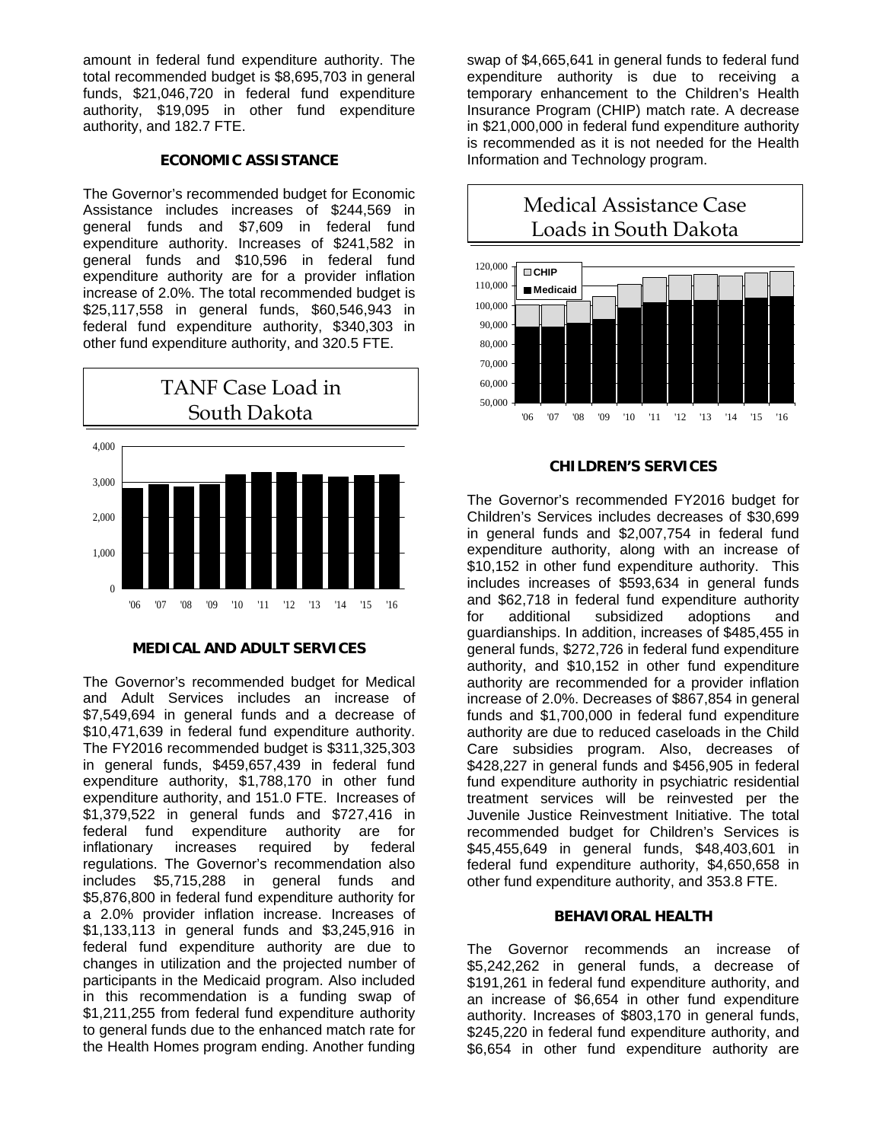amount in federal fund expenditure authority. The total recommended budget is \$8,695,703 in general funds, \$21,046,720 in federal fund expenditure authority, \$19,095 in other fund expenditure authority, and 182.7 FTE.

#### **ECONOMIC ASSISTANCE**

The Governor's recommended budget for Economic Assistance includes increases of \$244,569 in general funds and \$7,609 in federal fund expenditure authority. Increases of \$241,582 in general funds and \$10,596 in federal fund expenditure authority are for a provider inflation increase of 2.0%. The total recommended budget is \$25,117,558 in general funds, \$60,546,943 in federal fund expenditure authority, \$340,303 in other fund expenditure authority, and 320.5 FTE.



### **MEDICAL AND ADULT SERVICES**

The Governor's recommended budget for Medical and Adult Services includes an increase of \$7,549,694 in general funds and a decrease of \$10,471,639 in federal fund expenditure authority. The FY2016 recommended budget is \$311,325,303 in general funds, \$459,657,439 in federal fund expenditure authority, \$1,788,170 in other fund expenditure authority, and 151.0 FTE. Increases of \$1,379,522 in general funds and \$727,416 in federal fund expenditure authority are for inflationary increases required by federal regulations. The Governor's recommendation also includes \$5,715,288 in general funds and \$5,876,800 in federal fund expenditure authority for a 2.0% provider inflation increase. Increases of \$1,133,113 in general funds and \$3,245,916 in federal fund expenditure authority are due to changes in utilization and the projected number of participants in the Medicaid program. Also included in this recommendation is a funding swap of \$1,211,255 from federal fund expenditure authority to general funds due to the enhanced match rate for the Health Homes program ending. Another funding

swap of \$4,665,641 in general funds to federal fund expenditure authority is due to receiving a temporary enhancement to the Children's Health Insurance Program (CHIP) match rate. A decrease in \$21,000,000 in federal fund expenditure authority is recommended as it is not needed for the Health Information and Technology program.



#### **CHILDREN'S SERVICES**

The Governor's recommended FY2016 budget for Children's Services includes decreases of \$30,699 in general funds and \$2,007,754 in federal fund expenditure authority, along with an increase of \$10,152 in other fund expenditure authority. This includes increases of \$593,634 in general funds and \$62,718 in federal fund expenditure authority for additional subsidized adoptions and guardianships. In addition, increases of \$485,455 in general funds, \$272,726 in federal fund expenditure authority, and \$10,152 in other fund expenditure authority are recommended for a provider inflation increase of 2.0%. Decreases of \$867,854 in general funds and \$1,700,000 in federal fund expenditure authority are due to reduced caseloads in the Child Care subsidies program. Also, decreases of \$428,227 in general funds and \$456,905 in federal fund expenditure authority in psychiatric residential treatment services will be reinvested per the Juvenile Justice Reinvestment Initiative. The total recommended budget for Children's Services is \$45,455,649 in general funds, \$48,403,601 in federal fund expenditure authority, \$4,650,658 in other fund expenditure authority, and 353.8 FTE.

### **BEHAVIORAL HEALTH**

The Governor recommends an increase of \$5,242,262 in general funds, a decrease of \$191,261 in federal fund expenditure authority, and an increase of \$6,654 in other fund expenditure authority. Increases of \$803,170 in general funds, \$245,220 in federal fund expenditure authority, and \$6,654 in other fund expenditure authority are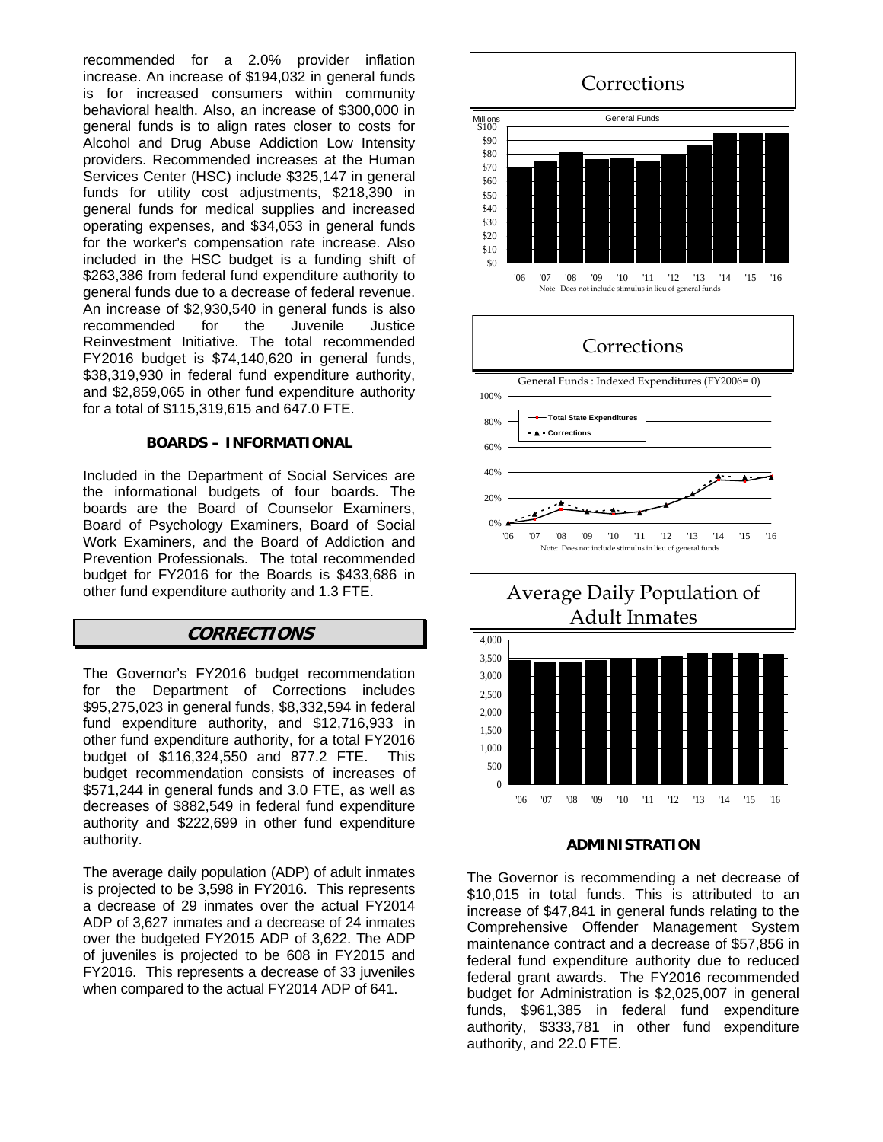recommended for a 2.0% provider inflation increase. An increase of \$194,032 in general funds is for increased consumers within community behavioral health. Also, an increase of \$300,000 in general funds is to align rates closer to costs for Alcohol and Drug Abuse Addiction Low Intensity providers. Recommended increases at the Human Services Center (HSC) include \$325,147 in general funds for utility cost adjustments, \$218,390 in general funds for medical supplies and increased operating expenses, and \$34,053 in general funds for the worker's compensation rate increase. Also included in the HSC budget is a funding shift of \$263,386 from federal fund expenditure authority to general funds due to a decrease of federal revenue. An increase of \$2,930,540 in general funds is also recommended for the Juvenile Justice Reinvestment Initiative. The total recommended FY2016 budget is \$74,140,620 in general funds, \$38,319,930 in federal fund expenditure authority, and \$2,859,065 in other fund expenditure authority for a total of \$115,319,615 and 647.0 FTE.

#### **BOARDS – INFORMATIONAL**

Included in the Department of Social Services are the informational budgets of four boards. The boards are the Board of Counselor Examiners, Board of Psychology Examiners, Board of Social Work Examiners, and the Board of Addiction and Prevention Professionals. The total recommended budget for FY2016 for the Boards is \$433,686 in other fund expenditure authority and 1.3 FTE.

# **CORRECTIONS**

The Governor's FY2016 budget recommendation for the Department of Corrections includes \$95,275,023 in general funds, \$8,332,594 in federal fund expenditure authority, and \$12,716,933 in other fund expenditure authority, for a total FY2016 budget of \$116,324,550 and 877.2 FTE. This budget recommendation consists of increases of \$571,244 in general funds and 3.0 FTE, as well as decreases of \$882,549 in federal fund expenditure authority and \$222,699 in other fund expenditure authority.

The average daily population (ADP) of adult inmates is projected to be 3,598 in FY2016. This represents a decrease of 29 inmates over the actual FY2014 ADP of 3,627 inmates and a decrease of 24 inmates over the budgeted FY2015 ADP of 3,622. The ADP of juveniles is projected to be 608 in FY2015 and FY2016. This represents a decrease of 33 juveniles when compared to the actual FY2014 ADP of 641.



#### **ADMINISTRATION**

The Governor is recommending a net decrease of \$10,015 in total funds. This is attributed to an increase of \$47,841 in general funds relating to the Comprehensive Offender Management System maintenance contract and a decrease of \$57,856 in federal fund expenditure authority due to reduced federal grant awards. The FY2016 recommended budget for Administration is \$2,025,007 in general funds, \$961,385 in federal fund expenditure authority, \$333,781 in other fund expenditure authority, and 22.0 FTE.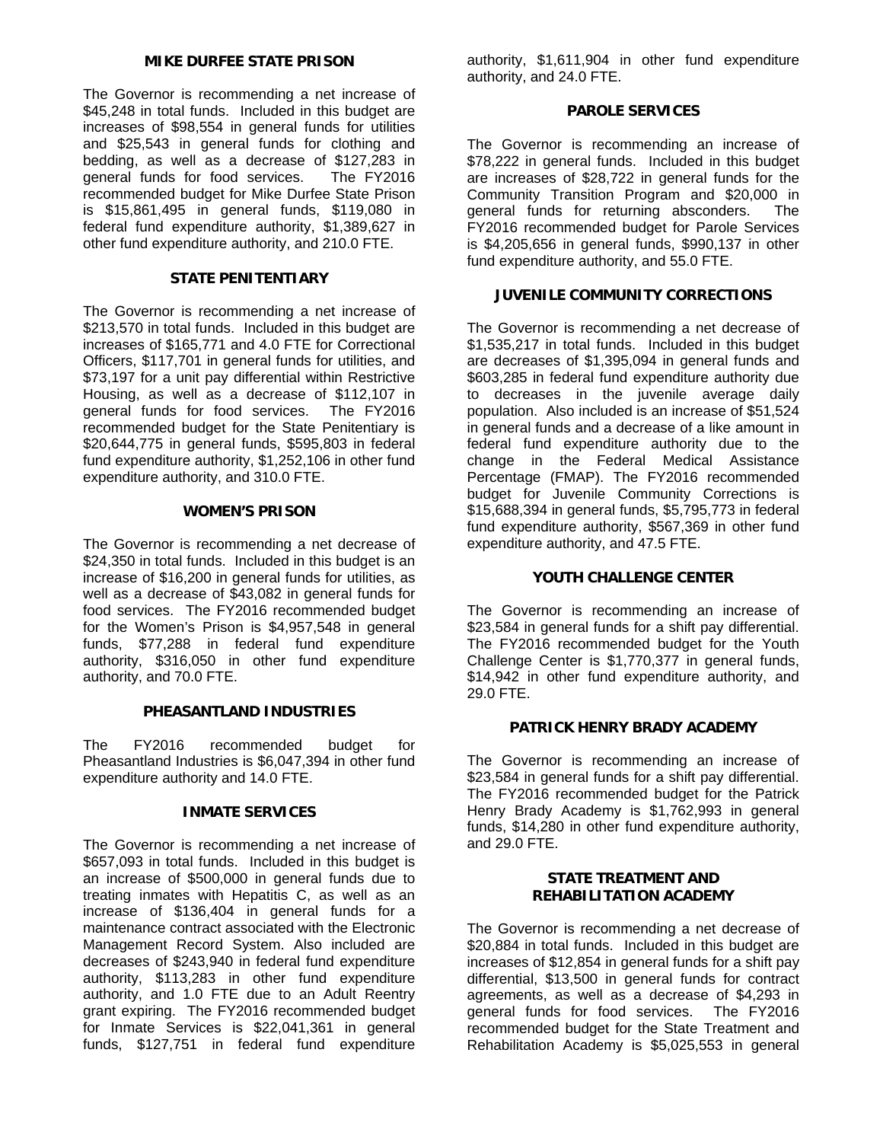### **MIKE DURFEE STATE PRISON**

The Governor is recommending a net increase of \$45,248 in total funds. Included in this budget are increases of \$98,554 in general funds for utilities and \$25,543 in general funds for clothing and bedding, as well as a decrease of \$127,283 in general funds for food services. The FY2016 recommended budget for Mike Durfee State Prison is \$15,861,495 in general funds, \$119,080 in federal fund expenditure authority, \$1,389,627 in other fund expenditure authority, and 210.0 FTE.

# **STATE PENITENTIARY**

The Governor is recommending a net increase of \$213,570 in total funds. Included in this budget are increases of \$165,771 and 4.0 FTE for Correctional Officers, \$117,701 in general funds for utilities, and \$73,197 for a unit pay differential within Restrictive Housing, as well as a decrease of \$112,107 in general funds for food services. The FY2016 recommended budget for the State Penitentiary is \$20,644,775 in general funds, \$595,803 in federal fund expenditure authority, \$1,252,106 in other fund expenditure authority, and 310.0 FTE.

# **WOMEN'S PRISON**

The Governor is recommending a net decrease of \$24,350 in total funds. Included in this budget is an increase of \$16,200 in general funds for utilities, as well as a decrease of \$43,082 in general funds for food services. The FY2016 recommended budget for the Women's Prison is \$4,957,548 in general funds, \$77,288 in federal fund expenditure authority, \$316,050 in other fund expenditure authority, and 70.0 FTE.

### **PHEASANTLAND INDUSTRIES**

The FY2016 recommended budget for Pheasantland Industries is \$6,047,394 in other fund expenditure authority and 14.0 FTE.

# **INMATE SERVICES**

The Governor is recommending a net increase of \$657,093 in total funds. Included in this budget is an increase of \$500,000 in general funds due to treating inmates with Hepatitis C, as well as an increase of \$136,404 in general funds for a maintenance contract associated with the Electronic Management Record System. Also included are decreases of \$243,940 in federal fund expenditure authority, \$113,283 in other fund expenditure authority, and 1.0 FTE due to an Adult Reentry grant expiring. The FY2016 recommended budget for Inmate Services is \$22,041,361 in general funds, \$127,751 in federal fund expenditure

authority, \$1,611,904 in other fund expenditure authority, and 24.0 FTE.

# **PAROLE SERVICES**

The Governor is recommending an increase of \$78,222 in general funds. Included in this budget are increases of \$28,722 in general funds for the Community Transition Program and \$20,000 in general funds for returning absconders. The FY2016 recommended budget for Parole Services is \$4,205,656 in general funds, \$990,137 in other fund expenditure authority, and 55.0 FTE.

# **JUVENILE COMMUNITY CORRECTIONS**

The Governor is recommending a net decrease of \$1,535,217 in total funds. Included in this budget are decreases of \$1,395,094 in general funds and \$603,285 in federal fund expenditure authority due to decreases in the juvenile average daily population. Also included is an increase of \$51,524 in general funds and a decrease of a like amount in federal fund expenditure authority due to the change in the Federal Medical Assistance Percentage (FMAP). The FY2016 recommended budget for Juvenile Community Corrections is \$15,688,394 in general funds, \$5,795,773 in federal fund expenditure authority, \$567,369 in other fund expenditure authority, and 47.5 FTE.

### **YOUTH CHALLENGE CENTER**

The Governor is recommending an increase of \$23,584 in general funds for a shift pay differential. The FY2016 recommended budget for the Youth Challenge Center is \$1,770,377 in general funds, \$14,942 in other fund expenditure authority, and 29.0 FTE.

### **PATRICK HENRY BRADY ACADEMY**

The Governor is recommending an increase of \$23,584 in general funds for a shift pay differential. The FY2016 recommended budget for the Patrick Henry Brady Academy is \$1,762,993 in general funds, \$14,280 in other fund expenditure authority, and 29.0 FTE.

### **STATE TREATMENT AND REHABILITATION ACADEMY**

The Governor is recommending a net decrease of \$20,884 in total funds. Included in this budget are increases of \$12,854 in general funds for a shift pay differential, \$13,500 in general funds for contract agreements, as well as a decrease of \$4,293 in general funds for food services. The FY2016 recommended budget for the State Treatment and Rehabilitation Academy is \$5,025,553 in general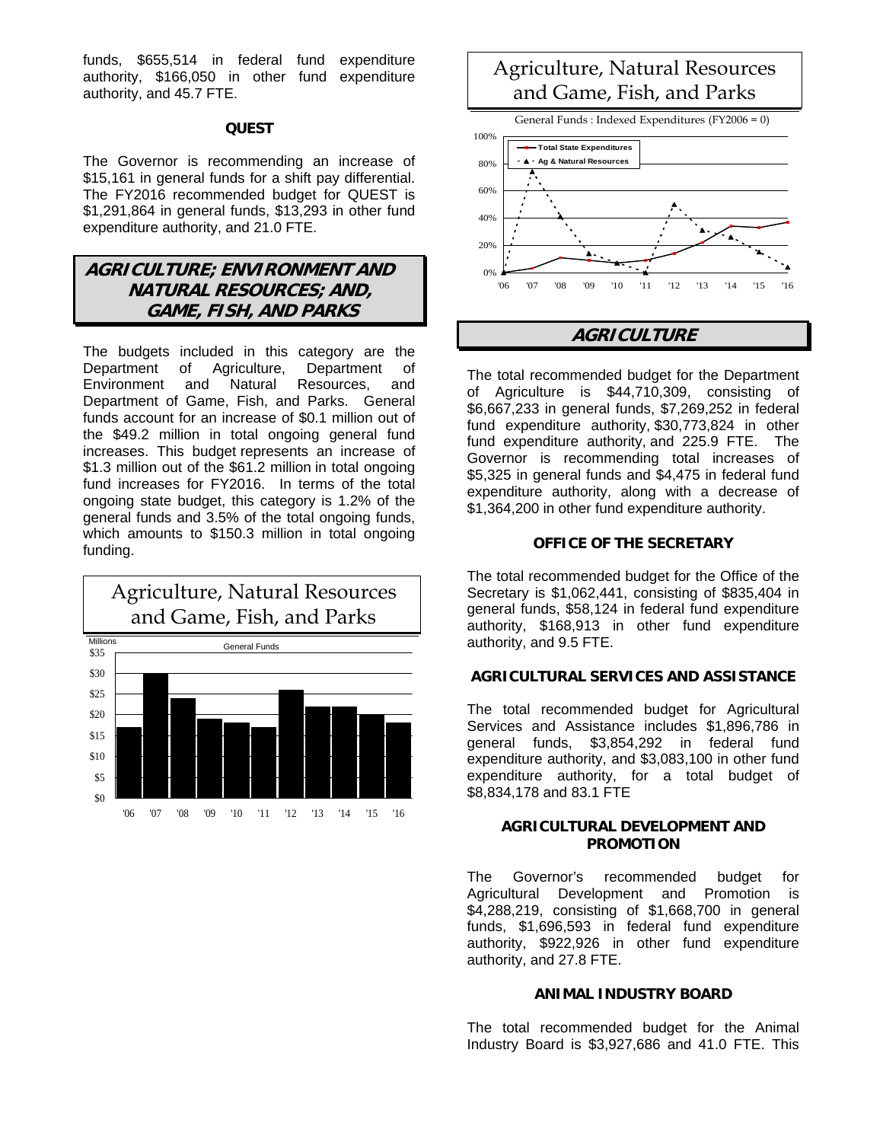funds, \$655,514 in federal fund expenditure authority, \$166,050 in other fund expenditure authority, and 45.7 FTE.

# **QUEST**

The Governor is recommending an increase of \$15,161 in general funds for a shift pay differential. The FY2016 recommended budget for QUEST is \$1,291,864 in general funds, \$13,293 in other fund expenditure authority, and 21.0 FTE.

# **AGRICULTURE; ENVIRONMENT AND NATURAL RESOURCES; AND, GAME, FISH, AND PARKS**

The budgets included in this category are the Department of Agriculture, Department of Environment and Natural Resources, and Department of Game, Fish, and Parks. General funds account for an increase of \$0.1 million out of the \$49.2 million in total ongoing general fund increases. This budget represents an increase of \$1.3 million out of the \$61.2 million in total ongoing fund increases for FY2016. In terms of the total ongoing state budget, this category is 1.2% of the general funds and 3.5% of the total ongoing funds, which amounts to \$150.3 million in total ongoing funding.



# Agriculture, Natural Resources and Game, Fish, and Parks

General Funds : Indexed Expenditures (FY2006 = 0)



# **AGRICULTURE**

The total recommended budget for the Department of Agriculture is \$44,710,309, consisting of \$6,667,233 in general funds, \$7,269,252 in federal fund expenditure authority, \$30,773,824 in other fund expenditure authority, and 225.9 FTE. The Governor is recommending total increases of \$5,325 in general funds and \$4,475 in federal fund expenditure authority, along with a decrease of \$1,364,200 in other fund expenditure authority.

# **OFFICE OF THE SECRETARY**

The total recommended budget for the Office of the Secretary is \$1,062,441, consisting of \$835,404 in general funds, \$58,124 in federal fund expenditure authority, \$168,913 in other fund expenditure authority, and 9.5 FTE.

# **AGRICULTURAL SERVICES AND ASSISTANCE**

The total recommended budget for Agricultural Services and Assistance includes \$1,896,786 in general funds, \$3,854,292 in federal fund expenditure authority, and \$3,083,100 in other fund expenditure authority, for a total budget of \$8,834,178 and 83.1 FTE

### **AGRICULTURAL DEVELOPMENT AND PROMOTION**

The Governor's recommended budget for Agricultural Development and Promotion is \$4,288,219, consisting of \$1,668,700 in general funds, \$1,696,593 in federal fund expenditure authority, \$922,926 in other fund expenditure authority, and 27.8 FTE.

# **ANIMAL INDUSTRY BOARD**

The total recommended budget for the Animal Industry Board is \$3,927,686 and 41.0 FTE. This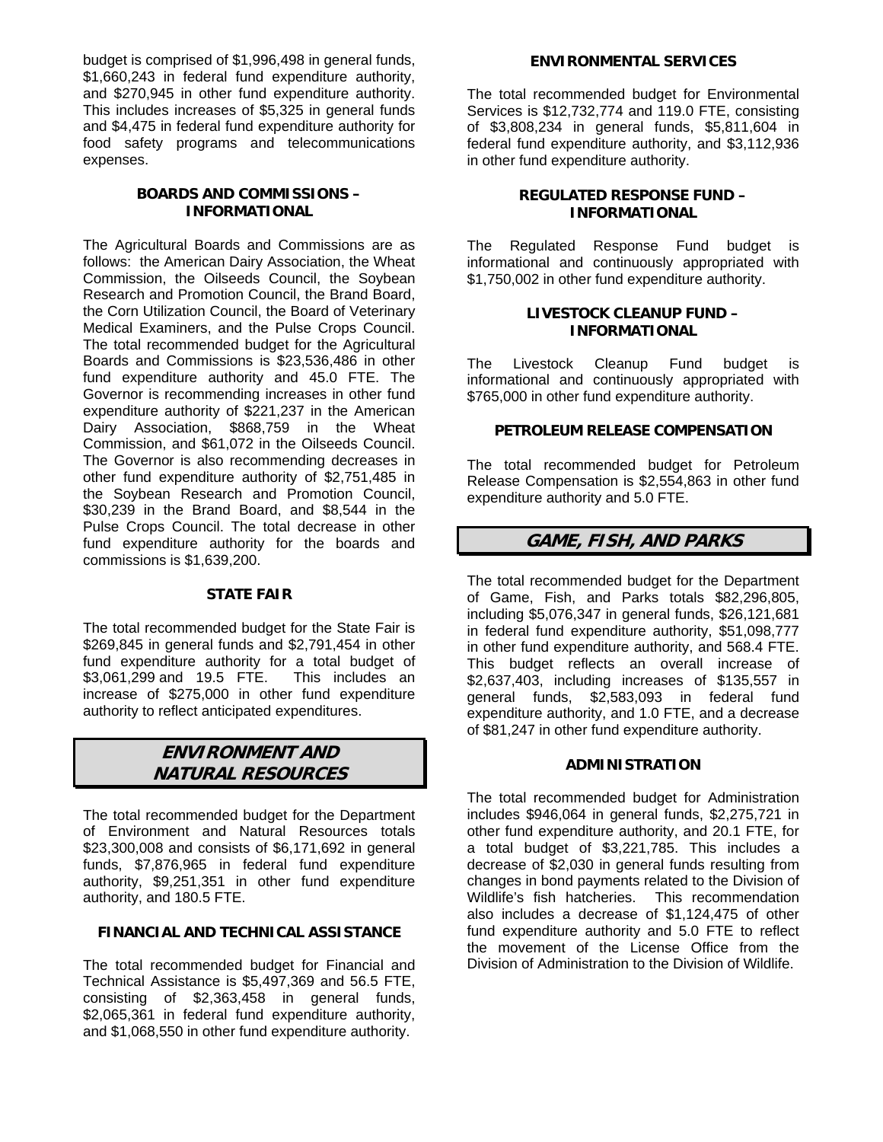budget is comprised of \$1,996,498 in general funds, \$1,660,243 in federal fund expenditure authority, and \$270,945 in other fund expenditure authority. This includes increases of \$5,325 in general funds and \$4,475 in federal fund expenditure authority for food safety programs and telecommunications expenses.

# **BOARDS AND COMMISSIONS – INFORMATIONAL**

The Agricultural Boards and Commissions are as follows: the American Dairy Association, the Wheat Commission, the Oilseeds Council, the Soybean Research and Promotion Council, the Brand Board, the Corn Utilization Council, the Board of Veterinary Medical Examiners, and the Pulse Crops Council. The total recommended budget for the Agricultural Boards and Commissions is \$23,536,486 in other fund expenditure authority and 45.0 FTE. The Governor is recommending increases in other fund expenditure authority of \$221,237 in the American Dairy Association, \$868,759 in the Wheat Commission, and \$61,072 in the Oilseeds Council. The Governor is also recommending decreases in other fund expenditure authority of \$2,751,485 in the Soybean Research and Promotion Council, \$30,239 in the Brand Board, and \$8,544 in the Pulse Crops Council. The total decrease in other fund expenditure authority for the boards and commissions is \$1,639,200.

# **STATE FAIR**

The total recommended budget for the State Fair is \$269,845 in general funds and \$2,791,454 in other fund expenditure authority for a total budget of \$3,061,299 and 19.5 FTE. This includes an increase of \$275,000 in other fund expenditure authority to reflect anticipated expenditures.

# **ENVIRONMENT AND NATURAL RESOURCES**

The total recommended budget for the Department of Environment and Natural Resources totals \$23,300,008 and consists of \$6,171,692 in general funds, \$7,876,965 in federal fund expenditure authority, \$9,251,351 in other fund expenditure authority, and 180.5 FTE.

# **FINANCIAL AND TECHNICAL ASSISTANCE**

The total recommended budget for Financial and Technical Assistance is \$5,497,369 and 56.5 FTE, consisting of \$2,363,458 in general funds, \$2,065,361 in federal fund expenditure authority, and \$1,068,550 in other fund expenditure authority.

### **ENVIRONMENTAL SERVICES**

The total recommended budget for Environmental Services is \$12,732,774 and 119.0 FTE, consisting of \$3,808,234 in general funds, \$5,811,604 in federal fund expenditure authority, and \$3,112,936 in other fund expenditure authority.

# **REGULATED RESPONSE FUND – INFORMATIONAL**

The Regulated Response Fund budget is informational and continuously appropriated with \$1,750,002 in other fund expenditure authority.

### **LIVESTOCK CLEANUP FUND – INFORMATIONAL**

The Livestock Cleanup Fund budget is informational and continuously appropriated with \$765,000 in other fund expenditure authority.

### **PETROLEUM RELEASE COMPENSATION**

The total recommended budget for Petroleum Release Compensation is \$2,554,863 in other fund expenditure authority and 5.0 FTE.

# **GAME, FISH, AND PARKS**

The total recommended budget for the Department of Game, Fish, and Parks totals \$82,296,805, including \$5,076,347 in general funds, \$26,121,681 in federal fund expenditure authority, \$51,098,777 in other fund expenditure authority, and 568.4 FTE. This budget reflects an overall increase of \$2,637,403, including increases of \$135,557 in general funds, \$2,583,093 in federal fund expenditure authority, and 1.0 FTE, and a decrease of \$81,247 in other fund expenditure authority.

### **ADMINISTRATION**

The total recommended budget for Administration includes \$946,064 in general funds, \$2,275,721 in other fund expenditure authority, and 20.1 FTE, for a total budget of \$3,221,785. This includes a decrease of \$2,030 in general funds resulting from changes in bond payments related to the Division of Wildlife's fish hatcheries. This recommendation also includes a decrease of \$1,124,475 of other fund expenditure authority and 5.0 FTE to reflect the movement of the License Office from the Division of Administration to the Division of Wildlife.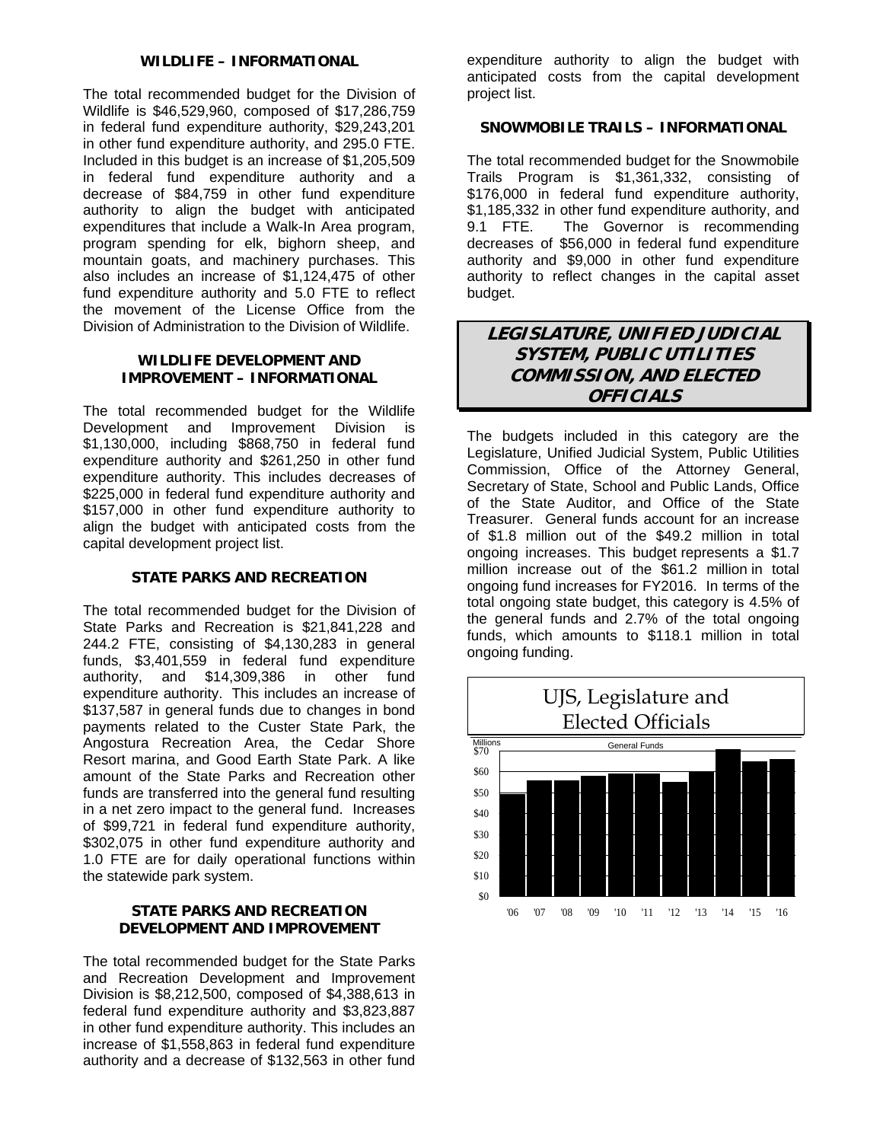### **WILDLIFE – INFORMATIONAL**

The total recommended budget for the Division of Wildlife is \$46,529,960, composed of \$17,286,759 in federal fund expenditure authority, \$29,243,201 in other fund expenditure authority, and 295.0 FTE. Included in this budget is an increase of \$1,205,509 in federal fund expenditure authority and a decrease of \$84,759 in other fund expenditure authority to align the budget with anticipated expenditures that include a Walk-In Area program, program spending for elk, bighorn sheep, and mountain goats, and machinery purchases. This also includes an increase of \$1,124,475 of other fund expenditure authority and 5.0 FTE to reflect the movement of the License Office from the Division of Administration to the Division of Wildlife.

# **WILDLIFE DEVELOPMENT AND IMPROVEMENT – INFORMATIONAL**

The total recommended budget for the Wildlife Development and Improvement Division is \$1,130,000, including \$868,750 in federal fund expenditure authority and \$261,250 in other fund expenditure authority. This includes decreases of \$225,000 in federal fund expenditure authority and \$157,000 in other fund expenditure authority to align the budget with anticipated costs from the capital development project list.

### **STATE PARKS AND RECREATION**

The total recommended budget for the Division of State Parks and Recreation is \$21,841,228 and 244.2 FTE, consisting of \$4,130,283 in general funds, \$3,401,559 in federal fund expenditure authority, and \$14,309,386 in other fund expenditure authority. This includes an increase of \$137,587 in general funds due to changes in bond payments related to the Custer State Park, the Angostura Recreation Area, the Cedar Shore Resort marina, and Good Earth State Park. A like amount of the State Parks and Recreation other funds are transferred into the general fund resulting in a net zero impact to the general fund. Increases of \$99,721 in federal fund expenditure authority, \$302,075 in other fund expenditure authority and 1.0 FTE are for daily operational functions within the statewide park system.

### **STATE PARKS AND RECREATION DEVELOPMENT AND IMPROVEMENT**

The total recommended budget for the State Parks and Recreation Development and Improvement Division is \$8,212,500, composed of \$4,388,613 in federal fund expenditure authority and \$3,823,887 in other fund expenditure authority. This includes an increase of \$1,558,863 in federal fund expenditure authority and a decrease of \$132,563 in other fund

expenditure authority to align the budget with anticipated costs from the capital development project list.

# **SNOWMOBILE TRAILS – INFORMATIONAL**

The total recommended budget for the Snowmobile Trails Program is \$1,361,332, consisting of \$176,000 in federal fund expenditure authority, \$1,185,332 in other fund expenditure authority, and 9.1 FTE. The Governor is recommending decreases of \$56,000 in federal fund expenditure authority and \$9,000 in other fund expenditure authority to reflect changes in the capital asset budget.

# **LEGISLATURE, UNIFIED JUDICIAL SYSTEM, PUBLIC UTILITIES COMMISSION, AND ELECTED OFFICIALS**

The budgets included in this category are the Legislature, Unified Judicial System, Public Utilities Commission, Office of the Attorney General, Secretary of State, School and Public Lands, Office of the State Auditor, and Office of the State Treasurer. General funds account for an increase of \$1.8 million out of the \$49.2 million in total ongoing increases. This budget represents a \$1.7 million increase out of the \$61.2 million in total ongoing fund increases for FY2016. In terms of the total ongoing state budget, this category is 4.5% of the general funds and 2.7% of the total ongoing funds, which amounts to \$118.1 million in total ongoing funding.

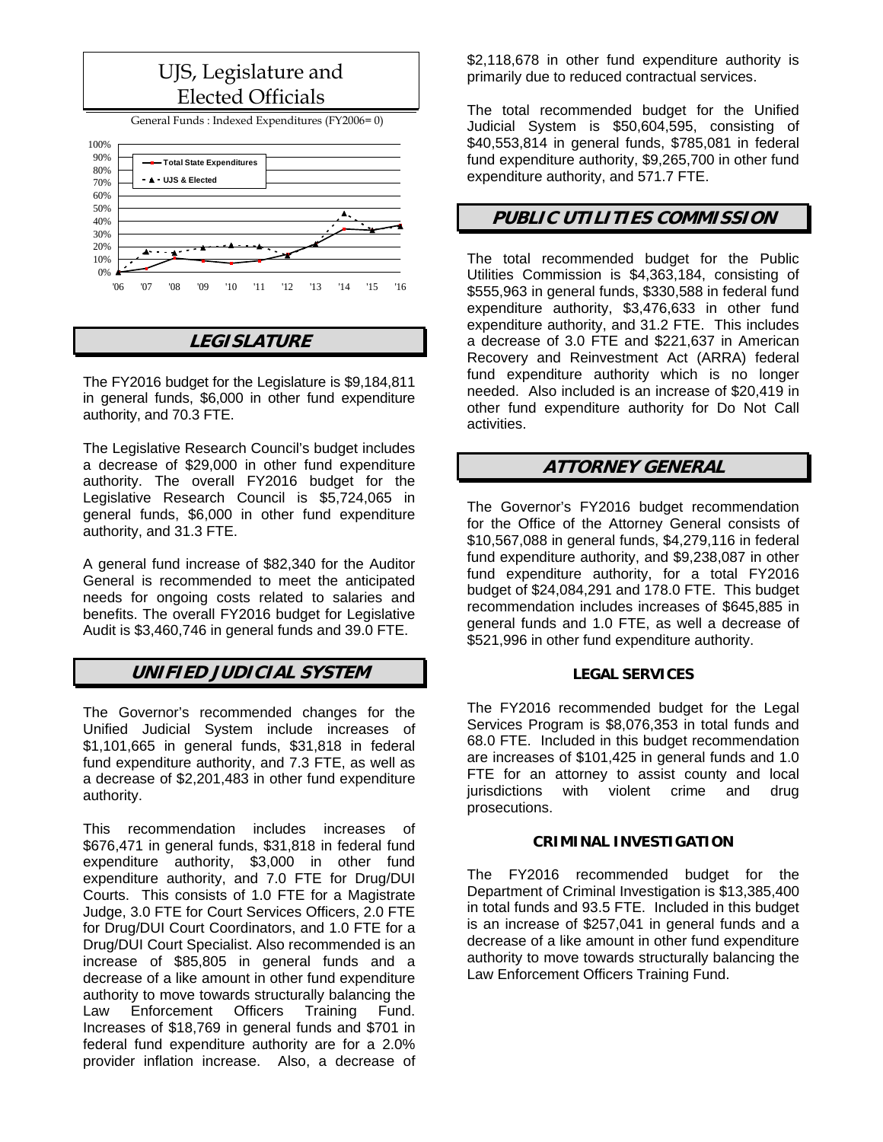# UJS, Legislature and Elected Officials

General Funds : Indexed Expenditures (FY2006= 0)



# **LEGISLATURE**

The FY2016 budget for the Legislature is \$9,184,811 in general funds, \$6,000 in other fund expenditure authority, and 70.3 FTE.

The Legislative Research Council's budget includes a decrease of \$29,000 in other fund expenditure authority. The overall FY2016 budget for the Legislative Research Council is \$5,724,065 in general funds, \$6,000 in other fund expenditure authority, and 31.3 FTE.

A general fund increase of \$82,340 for the Auditor General is recommended to meet the anticipated needs for ongoing costs related to salaries and benefits. The overall FY2016 budget for Legislative Audit is \$3,460,746 in general funds and 39.0 FTE.

# **UNIFIED JUDICIAL SYSTEM**

The Governor's recommended changes for the Unified Judicial System include increases of \$1,101,665 in general funds, \$31,818 in federal fund expenditure authority, and 7.3 FTE, as well as a decrease of \$2,201,483 in other fund expenditure authority.

This recommendation includes increases of \$676,471 in general funds, \$31,818 in federal fund expenditure authority, \$3,000 in other fund expenditure authority, and 7.0 FTE for Drug/DUI Courts. This consists of 1.0 FTE for a Magistrate Judge, 3.0 FTE for Court Services Officers, 2.0 FTE for Drug/DUI Court Coordinators, and 1.0 FTE for a Drug/DUI Court Specialist. Also recommended is an increase of \$85,805 in general funds and a decrease of a like amount in other fund expenditure authority to move towards structurally balancing the Law Enforcement Officers Training Fund. Increases of \$18,769 in general funds and \$701 in federal fund expenditure authority are for a 2.0% provider inflation increase. Also, a decrease of

\$2,118,678 in other fund expenditure authority is primarily due to reduced contractual services.

The total recommended budget for the Unified Judicial System is \$50,604,595, consisting of \$40,553,814 in general funds, \$785,081 in federal fund expenditure authority, \$9,265,700 in other fund expenditure authority, and 571.7 FTE.

# **PUBLIC UTILITIES COMMISSION**

The total recommended budget for the Public Utilities Commission is \$4,363,184, consisting of \$555,963 in general funds, \$330,588 in federal fund expenditure authority, \$3,476,633 in other fund expenditure authority, and 31.2 FTE. This includes a decrease of 3.0 FTE and \$221,637 in American Recovery and Reinvestment Act (ARRA) federal fund expenditure authority which is no longer needed. Also included is an increase of \$20,419 in other fund expenditure authority for Do Not Call activities.

# **ATTORNEY GENERAL**

The Governor's FY2016 budget recommendation for the Office of the Attorney General consists of \$10,567,088 in general funds, \$4,279,116 in federal fund expenditure authority, and \$9,238,087 in other fund expenditure authority, for a total FY2016 budget of \$24,084,291 and 178.0 FTE. This budget recommendation includes increases of \$645,885 in general funds and 1.0 FTE, as well a decrease of \$521,996 in other fund expenditure authority.

# **LEGAL SERVICES**

The FY2016 recommended budget for the Legal Services Program is \$8,076,353 in total funds and 68.0 FTE. Included in this budget recommendation are increases of \$101,425 in general funds and 1.0 FTE for an attorney to assist county and local jurisdictions with violent crime and drug prosecutions.

### **CRIMINAL INVESTIGATION**

The FY2016 recommended budget for the Department of Criminal Investigation is \$13,385,400 in total funds and 93.5 FTE. Included in this budget is an increase of \$257,041 in general funds and a decrease of a like amount in other fund expenditure authority to move towards structurally balancing the Law Enforcement Officers Training Fund.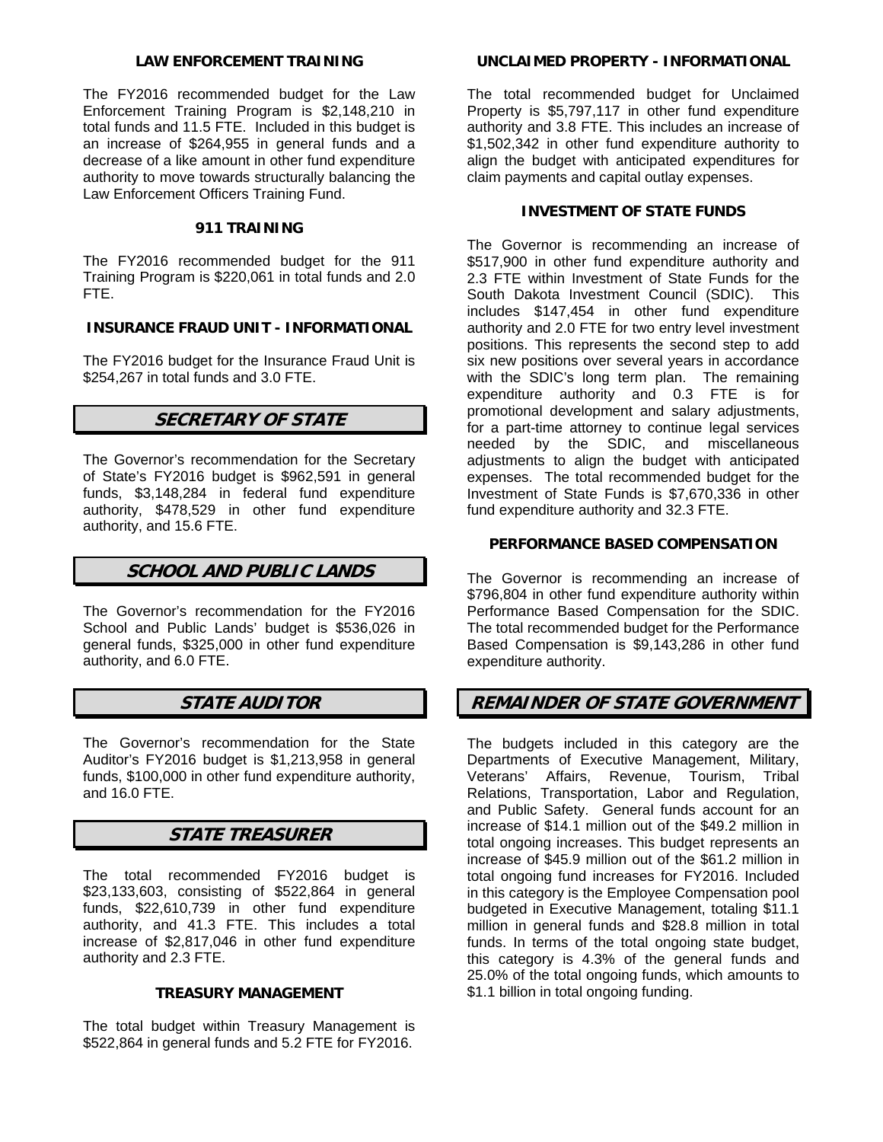# **LAW ENFORCEMENT TRAINING**

The FY2016 recommended budget for the Law Enforcement Training Program is \$2,148,210 in total funds and 11.5 FTE. Included in this budget is an increase of \$264,955 in general funds and a decrease of a like amount in other fund expenditure authority to move towards structurally balancing the Law Enforcement Officers Training Fund.

# **911 TRAINING**

The FY2016 recommended budget for the 911 Training Program is \$220,061 in total funds and 2.0 FTE.

# **INSURANCE FRAUD UNIT - INFORMATIONAL**

The FY2016 budget for the Insurance Fraud Unit is \$254,267 in total funds and 3.0 FTE.

# **SECRETARY OF STATE**

The Governor's recommendation for the Secretary of State's FY2016 budget is \$962,591 in general funds, \$3,148,284 in federal fund expenditure authority, \$478,529 in other fund expenditure authority, and 15.6 FTE.

# **SCHOOL AND PUBLIC LANDS**

The Governor's recommendation for the FY2016 School and Public Lands' budget is \$536,026 in general funds, \$325,000 in other fund expenditure authority, and 6.0 FTE.

# **STATE AUDITOR**

The Governor's recommendation for the State Auditor's FY2016 budget is \$1,213,958 in general funds, \$100,000 in other fund expenditure authority, and 16.0 FTE.

# **STATE TREASURER**

The total recommended FY2016 budget is \$23,133,603, consisting of \$522,864 in general funds, \$22,610,739 in other fund expenditure authority, and 41.3 FTE. This includes a total increase of \$2,817,046 in other fund expenditure authority and 2.3 FTE.

### **TREASURY MANAGEMENT**

The total budget within Treasury Management is \$522,864 in general funds and 5.2 FTE for FY2016.

### **UNCLAIMED PROPERTY - INFORMATIONAL**

The total recommended budget for Unclaimed Property is \$5,797,117 in other fund expenditure authority and 3.8 FTE. This includes an increase of \$1,502,342 in other fund expenditure authority to align the budget with anticipated expenditures for claim payments and capital outlay expenses.

# **INVESTMENT OF STATE FUNDS**

The Governor is recommending an increase of \$517,900 in other fund expenditure authority and 2.3 FTE within Investment of State Funds for the South Dakota Investment Council (SDIC). This includes \$147,454 in other fund expenditure authority and 2.0 FTE for two entry level investment positions. This represents the second step to add six new positions over several years in accordance with the SDIC's long term plan. The remaining expenditure authority and 0.3 FTE is for promotional development and salary adjustments, for a part-time attorney to continue legal services needed by the SDIC, and miscellaneous adjustments to align the budget with anticipated expenses. The total recommended budget for the Investment of State Funds is \$7,670,336 in other fund expenditure authority and 32.3 FTE.

# **PERFORMANCE BASED COMPENSATION**

The Governor is recommending an increase of \$796,804 in other fund expenditure authority within Performance Based Compensation for the SDIC. The total recommended budget for the Performance Based Compensation is \$9,143,286 in other fund expenditure authority.

# **REMAINDER OF STATE GOVERNMENT**

The budgets included in this category are the Departments of Executive Management, Military, Veterans' Affairs, Revenue, Tourism, Tribal Relations, Transportation, Labor and Regulation, and Public Safety. General funds account for an increase of \$14.1 million out of the \$49.2 million in total ongoing increases. This budget represents an increase of \$45.9 million out of the \$61.2 million in total ongoing fund increases for FY2016. Included in this category is the Employee Compensation pool budgeted in Executive Management, totaling \$11.1 million in general funds and \$28.8 million in total funds. In terms of the total ongoing state budget, this category is 4.3% of the general funds and 25.0% of the total ongoing funds, which amounts to \$1.1 billion in total ongoing funding.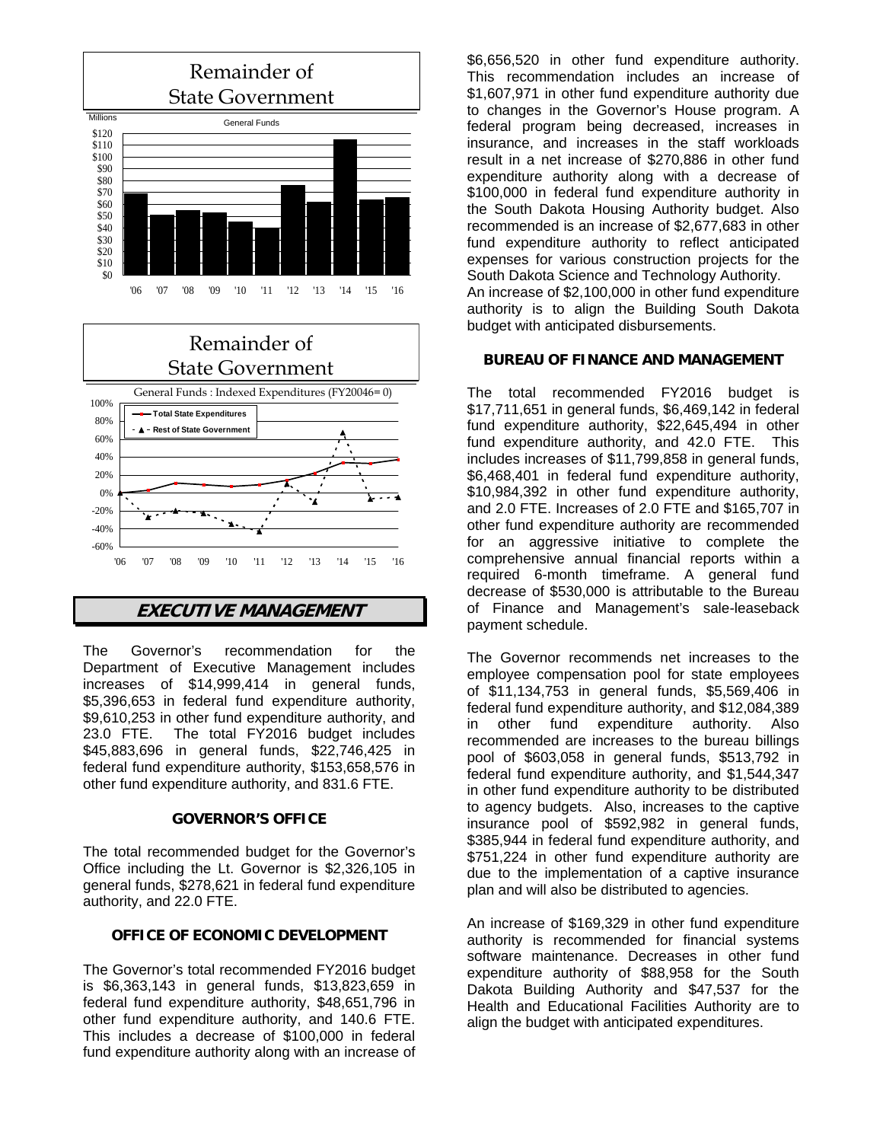



# **EXECUTIVE MANAGEMENT**

The Governor's recommendation for the Department of Executive Management includes increases of \$14,999,414 in general funds, \$5,396,653 in federal fund expenditure authority, \$9,610,253 in other fund expenditure authority, and 23.0 FTE. The total FY2016 budget includes \$45,883,696 in general funds, \$22,746,425 in federal fund expenditure authority, \$153,658,576 in other fund expenditure authority, and 831.6 FTE.

### **GOVERNOR'S OFFICE**

The total recommended budget for the Governor's Office including the Lt. Governor is \$2,326,105 in general funds, \$278,621 in federal fund expenditure authority, and 22.0 FTE.

## **OFFICE OF ECONOMIC DEVELOPMENT**

The Governor's total recommended FY2016 budget is \$6,363,143 in general funds, \$13,823,659 in federal fund expenditure authority, \$48,651,796 in other fund expenditure authority, and 140.6 FTE. This includes a decrease of \$100,000 in federal fund expenditure authority along with an increase of

\$6,656,520 in other fund expenditure authority. This recommendation includes an increase of \$1,607,971 in other fund expenditure authority due to changes in the Governor's House program. A federal program being decreased, increases in insurance, and increases in the staff workloads result in a net increase of \$270,886 in other fund expenditure authority along with a decrease of \$100,000 in federal fund expenditure authority in the South Dakota Housing Authority budget. Also recommended is an increase of \$2,677,683 in other fund expenditure authority to reflect anticipated expenses for various construction projects for the South Dakota Science and Technology Authority.

An increase of \$2,100,000 in other fund expenditure authority is to align the Building South Dakota budget with anticipated disbursements.

### **BUREAU OF FINANCE AND MANAGEMENT**

The total recommended FY2016 budget is \$17,711,651 in general funds, \$6,469,142 in federal fund expenditure authority, \$22,645,494 in other fund expenditure authority, and 42.0 FTE. This includes increases of \$11,799,858 in general funds, \$6,468,401 in federal fund expenditure authority, \$10,984,392 in other fund expenditure authority, and 2.0 FTE. Increases of 2.0 FTE and \$165,707 in other fund expenditure authority are recommended for an aggressive initiative to complete the comprehensive annual financial reports within a required 6-month timeframe. A general fund decrease of \$530,000 is attributable to the Bureau of Finance and Management's sale-leaseback payment schedule.

The Governor recommends net increases to the employee compensation pool for state employees of \$11,134,753 in general funds, \$5,569,406 in federal fund expenditure authority, and \$12,084,389 in other fund expenditure authority. Also recommended are increases to the bureau billings pool of \$603,058 in general funds, \$513,792 in federal fund expenditure authority, and \$1,544,347 in other fund expenditure authority to be distributed to agency budgets. Also, increases to the captive insurance pool of \$592,982 in general funds, \$385,944 in federal fund expenditure authority, and \$751,224 in other fund expenditure authority are due to the implementation of a captive insurance plan and will also be distributed to agencies.

An increase of \$169,329 in other fund expenditure authority is recommended for financial systems software maintenance. Decreases in other fund expenditure authority of \$88,958 for the South Dakota Building Authority and \$47,537 for the Health and Educational Facilities Authority are to align the budget with anticipated expenditures.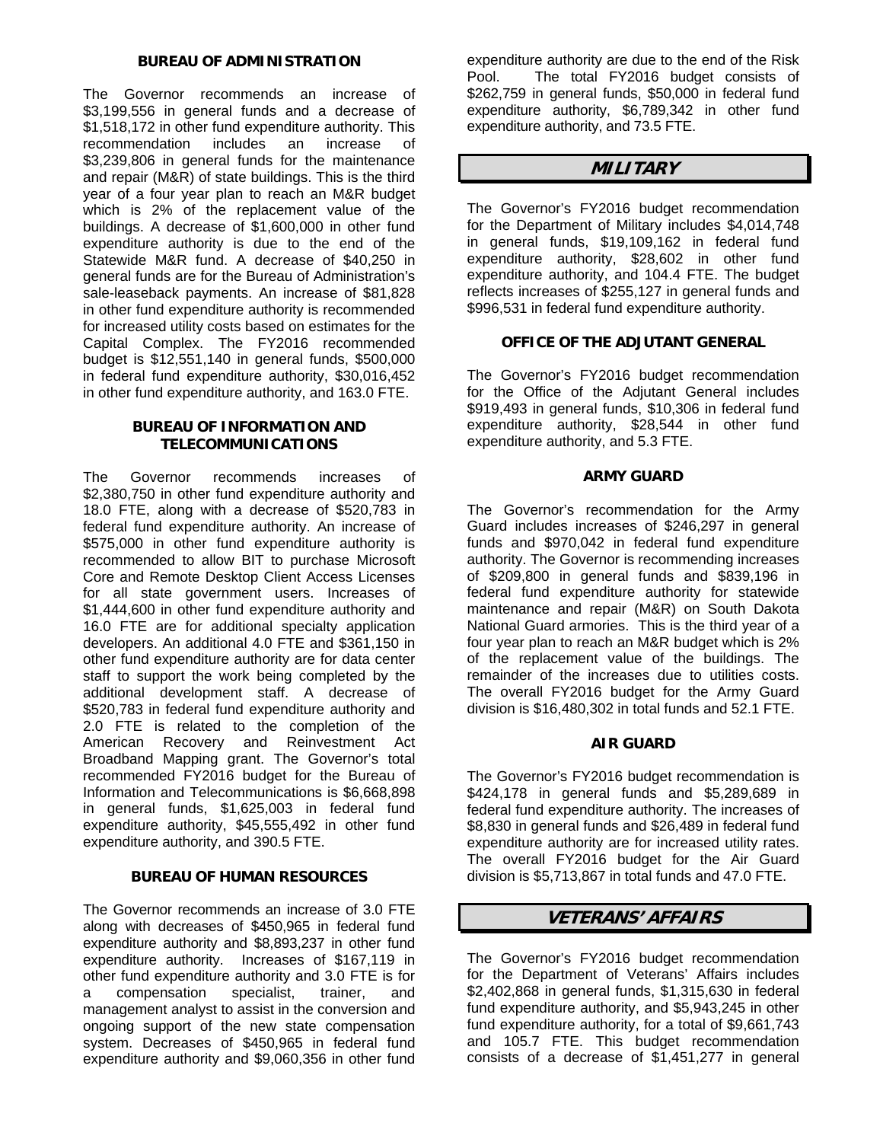### **BUREAU OF ADMINISTRATION**

The Governor recommends an increase of \$3,199,556 in general funds and a decrease of \$1,518,172 in other fund expenditure authority. This recommendation includes an increase of \$3,239,806 in general funds for the maintenance and repair (M&R) of state buildings. This is the third year of a four year plan to reach an M&R budget which is 2% of the replacement value of the buildings. A decrease of \$1,600,000 in other fund expenditure authority is due to the end of the Statewide M&R fund. A decrease of \$40,250 in general funds are for the Bureau of Administration's sale-leaseback payments. An increase of \$81,828 in other fund expenditure authority is recommended for increased utility costs based on estimates for the Capital Complex. The FY2016 recommended budget is \$12,551,140 in general funds, \$500,000 in federal fund expenditure authority, \$30,016,452 in other fund expenditure authority, and 163.0 FTE.

# **BUREAU OF INFORMATION AND TELECOMMUNICATIONS**

The Governor recommends increases of \$2,380,750 in other fund expenditure authority and 18.0 FTE, along with a decrease of \$520,783 in federal fund expenditure authority. An increase of \$575,000 in other fund expenditure authority is recommended to allow BIT to purchase Microsoft Core and Remote Desktop Client Access Licenses for all state government users. Increases of \$1,444,600 in other fund expenditure authority and 16.0 FTE are for additional specialty application developers. An additional 4.0 FTE and \$361,150 in other fund expenditure authority are for data center staff to support the work being completed by the additional development staff. A decrease of \$520,783 in federal fund expenditure authority and 2.0 FTE is related to the completion of the American Recovery and Reinvestment Act Broadband Mapping grant. The Governor's total recommended FY2016 budget for the Bureau of Information and Telecommunications is \$6,668,898 in general funds, \$1,625,003 in federal fund expenditure authority, \$45,555,492 in other fund expenditure authority, and 390.5 FTE.

### **BUREAU OF HUMAN RESOURCES**

The Governor recommends an increase of 3.0 FTE along with decreases of \$450,965 in federal fund expenditure authority and \$8,893,237 in other fund expenditure authority. Increases of \$167,119 in other fund expenditure authority and 3.0 FTE is for a compensation specialist, trainer, and management analyst to assist in the conversion and ongoing support of the new state compensation system. Decreases of \$450,965 in federal fund expenditure authority and \$9,060,356 in other fund expenditure authority are due to the end of the Risk Pool. The total FY2016 budget consists of \$262,759 in general funds, \$50,000 in federal fund expenditure authority, \$6,789,342 in other fund expenditure authority, and 73.5 FTE.

# **MILITARY**

The Governor's FY2016 budget recommendation for the Department of Military includes \$4,014,748 in general funds, \$19,109,162 in federal fund expenditure authority, \$28,602 in other fund expenditure authority, and 104.4 FTE. The budget reflects increases of \$255,127 in general funds and \$996,531 in federal fund expenditure authority.

# **OFFICE OF THE ADJUTANT GENERAL**

The Governor's FY2016 budget recommendation for the Office of the Adjutant General includes \$919,493 in general funds, \$10,306 in federal fund expenditure authority, \$28,544 in other fund expenditure authority, and 5.3 FTE.

# **ARMY GUARD**

The Governor's recommendation for the Army Guard includes increases of \$246,297 in general funds and \$970,042 in federal fund expenditure authority. The Governor is recommending increases of \$209,800 in general funds and \$839,196 in federal fund expenditure authority for statewide maintenance and repair (M&R) on South Dakota National Guard armories. This is the third year of a four year plan to reach an M&R budget which is 2% of the replacement value of the buildings. The remainder of the increases due to utilities costs. The overall FY2016 budget for the Army Guard division is \$16,480,302 in total funds and 52.1 FTE.

### **AIR GUARD**

The Governor's FY2016 budget recommendation is \$424,178 in general funds and \$5,289,689 in federal fund expenditure authority. The increases of \$8,830 in general funds and \$26,489 in federal fund expenditure authority are for increased utility rates. The overall FY2016 budget for the Air Guard division is \$5,713,867 in total funds and 47.0 FTE.

# **VETERANS' AFFAIRS**

The Governor's FY2016 budget recommendation for the Department of Veterans' Affairs includes \$2,402,868 in general funds, \$1,315,630 in federal fund expenditure authority, and \$5,943,245 in other fund expenditure authority, for a total of \$9,661,743 and 105.7 FTE. This budget recommendation consists of a decrease of \$1,451,277 in general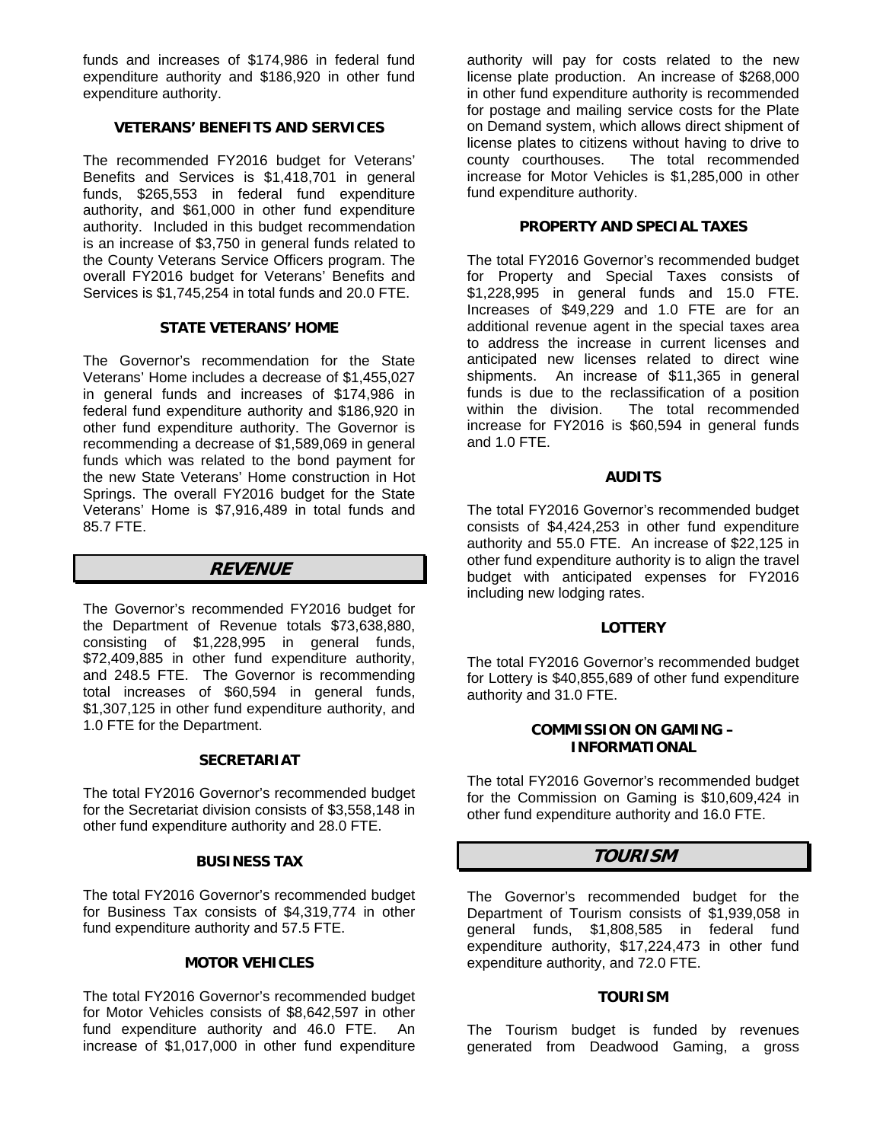funds and increases of \$174,986 in federal fund expenditure authority and \$186,920 in other fund expenditure authority.

# **VETERANS' BENEFITS AND SERVICES**

The recommended FY2016 budget for Veterans' Benefits and Services is \$1,418,701 in general funds, \$265,553 in federal fund expenditure authority, and \$61,000 in other fund expenditure authority. Included in this budget recommendation is an increase of \$3,750 in general funds related to the County Veterans Service Officers program. The overall FY2016 budget for Veterans' Benefits and Services is \$1,745,254 in total funds and 20.0 FTE.

# **STATE VETERANS' HOME**

The Governor's recommendation for the State Veterans' Home includes a decrease of \$1,455,027 in general funds and increases of \$174,986 in federal fund expenditure authority and \$186,920 in other fund expenditure authority. The Governor is recommending a decrease of \$1,589,069 in general funds which was related to the bond payment for the new State Veterans' Home construction in Hot Springs. The overall FY2016 budget for the State Veterans' Home is \$7,916,489 in total funds and 85.7 FTE.

# **REVENUE**

The Governor's recommended FY2016 budget for the Department of Revenue totals \$73,638,880, consisting of \$1,228,995 in general funds, \$72,409,885 in other fund expenditure authority, and 248.5 FTE. The Governor is recommending total increases of \$60,594 in general funds, \$1,307,125 in other fund expenditure authority, and 1.0 FTE for the Department.

# **SECRETARIAT**

The total FY2016 Governor's recommended budget for the Secretariat division consists of \$3,558,148 in other fund expenditure authority and 28.0 FTE.

### **BUSINESS TAX**

The total FY2016 Governor's recommended budget for Business Tax consists of \$4,319,774 in other fund expenditure authority and 57.5 FTE.

### **MOTOR VEHICLES**

The total FY2016 Governor's recommended budget for Motor Vehicles consists of \$8,642,597 in other fund expenditure authority and 46.0 FTE. An increase of \$1,017,000 in other fund expenditure

authority will pay for costs related to the new license plate production. An increase of \$268,000 in other fund expenditure authority is recommended for postage and mailing service costs for the Plate on Demand system, which allows direct shipment of license plates to citizens without having to drive to The total recommended increase for Motor Vehicles is \$1,285,000 in other fund expenditure authority.

### **PROPERTY AND SPECIAL TAXES**

The total FY2016 Governor's recommended budget for Property and Special Taxes consists of \$1,228,995 in general funds and 15.0 FTE. Increases of \$49,229 and 1.0 FTE are for an additional revenue agent in the special taxes area to address the increase in current licenses and anticipated new licenses related to direct wine shipments. An increase of \$11,365 in general funds is due to the reclassification of a position within the division. The total recommended increase for FY2016 is \$60,594 in general funds and 1.0 FTE.

# **AUDITS**

The total FY2016 Governor's recommended budget consists of \$4,424,253 in other fund expenditure authority and 55.0 FTE. An increase of \$22,125 in other fund expenditure authority is to align the travel budget with anticipated expenses for FY2016 including new lodging rates.

### **LOTTERY**

The total FY2016 Governor's recommended budget for Lottery is \$40,855,689 of other fund expenditure authority and 31.0 FTE.

### **COMMISSION ON GAMING – INFORMATIONAL**

The total FY2016 Governor's recommended budget for the Commission on Gaming is \$10,609,424 in other fund expenditure authority and 16.0 FTE.

# **TOURISM**

The Governor's recommended budget for the Department of Tourism consists of \$1,939,058 in general funds, \$1,808,585 in federal fund expenditure authority, \$17,224,473 in other fund expenditure authority, and 72.0 FTE.

### **TOURISM**

The Tourism budget is funded by revenues generated from Deadwood Gaming, a gross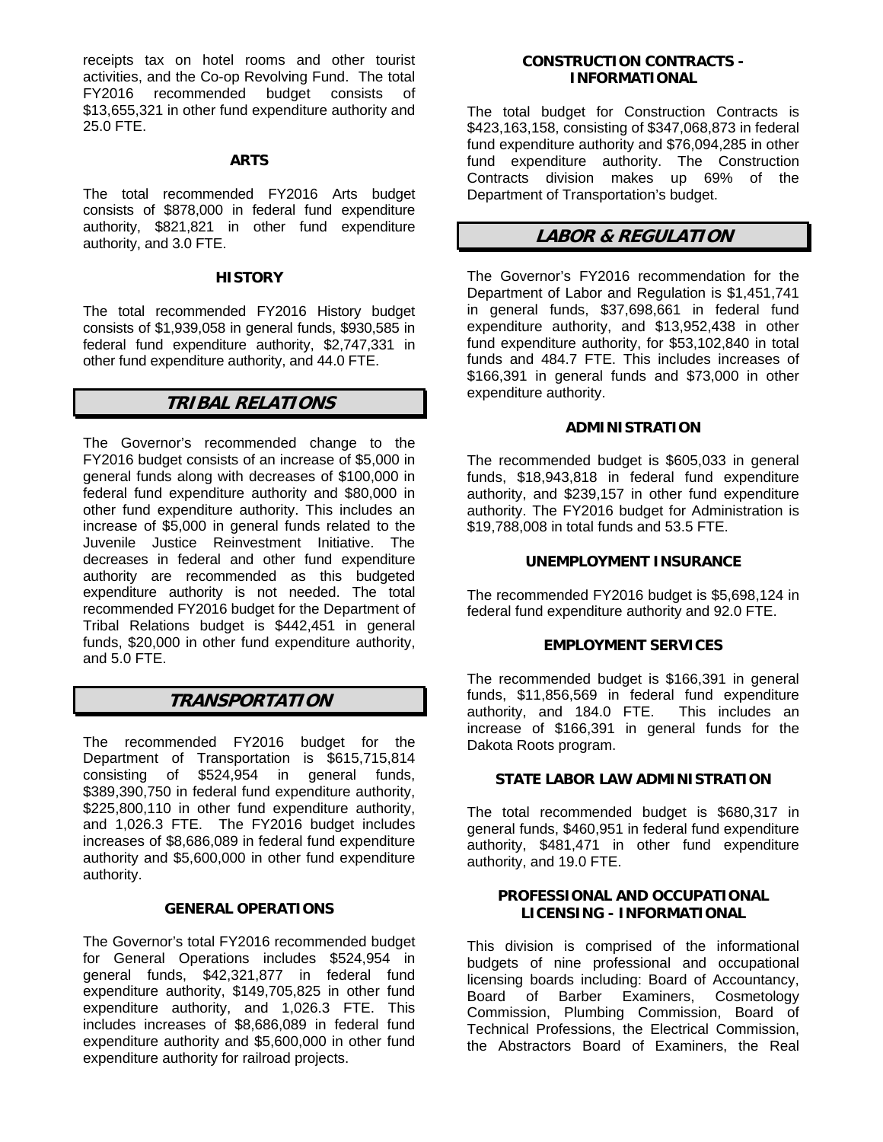receipts tax on hotel rooms and other tourist activities, and the Co-op Revolving Fund. The total FY2016 recommended budget consists of \$13,655,321 in other fund expenditure authority and 25.0 FTE.

#### **ARTS**

The total recommended FY2016 Arts budget consists of \$878,000 in federal fund expenditure authority, \$821,821 in other fund expenditure authority, and 3.0 FTE.

#### **HISTORY**

The total recommended FY2016 History budget consists of \$1,939,058 in general funds, \$930,585 in federal fund expenditure authority, \$2,747,331 in other fund expenditure authority, and 44.0 FTE.

# **TRIBAL RELATIONS**

The Governor's recommended change to the FY2016 budget consists of an increase of \$5,000 in general funds along with decreases of \$100,000 in federal fund expenditure authority and \$80,000 in other fund expenditure authority. This includes an increase of \$5,000 in general funds related to the Juvenile Justice Reinvestment Initiative. The decreases in federal and other fund expenditure authority are recommended as this budgeted expenditure authority is not needed. The total recommended FY2016 budget for the Department of Tribal Relations budget is \$442,451 in general funds, \$20,000 in other fund expenditure authority, and 5.0 FTE.

# **TRANSPORTATION**

The recommended FY2016 budget for the Department of Transportation is \$615,715,814 consisting of \$524,954 in general funds, \$389,390,750 in federal fund expenditure authority, \$225,800,110 in other fund expenditure authority, and 1,026.3 FTE. The FY2016 budget includes increases of \$8,686,089 in federal fund expenditure authority and \$5,600,000 in other fund expenditure authority.

### **GENERAL OPERATIONS**

The Governor's total FY2016 recommended budget for General Operations includes \$524,954 in general funds, \$42,321,877 in federal fund expenditure authority, \$149,705,825 in other fund expenditure authority, and 1,026.3 FTE. This includes increases of \$8,686,089 in federal fund expenditure authority and \$5,600,000 in other fund expenditure authority for railroad projects.

### **CONSTRUCTION CONTRACTS - INFORMATIONAL**

The total budget for Construction Contracts is \$423,163,158, consisting of \$347,068,873 in federal fund expenditure authority and \$76,094,285 in other fund expenditure authority. The Construction Contracts division makes up 69% of the Department of Transportation's budget.

# **LABOR & REGULATION**

The Governor's FY2016 recommendation for the Department of Labor and Regulation is \$1,451,741 in general funds, \$37,698,661 in federal fund expenditure authority, and \$13,952,438 in other fund expenditure authority, for \$53,102,840 in total funds and 484.7 FTE. This includes increases of \$166,391 in general funds and \$73,000 in other expenditure authority.

## **ADMINISTRATION**

The recommended budget is \$605,033 in general funds, \$18,943,818 in federal fund expenditure authority, and \$239,157 in other fund expenditure authority. The FY2016 budget for Administration is \$19,788,008 in total funds and 53.5 FTE.

#### **UNEMPLOYMENT INSURANCE**

The recommended FY2016 budget is \$5,698,124 in federal fund expenditure authority and 92.0 FTE.

#### **EMPLOYMENT SERVICES**

The recommended budget is \$166,391 in general funds, \$11,856,569 in federal fund expenditure authority, and 184.0 FTE. This includes an increase of \$166,391 in general funds for the Dakota Roots program.

### **STATE LABOR LAW ADMINISTRATION**

The total recommended budget is \$680,317 in general funds, \$460,951 in federal fund expenditure authority, \$481,471 in other fund expenditure authority, and 19.0 FTE.

### **PROFESSIONAL AND OCCUPATIONAL LICENSING - INFORMATIONAL**

This division is comprised of the informational budgets of nine professional and occupational licensing boards including: Board of Accountancy, Board of Barber Examiners, Commission, Plumbing Commission, Board of Technical Professions, the Electrical Commission, the Abstractors Board of Examiners, the Real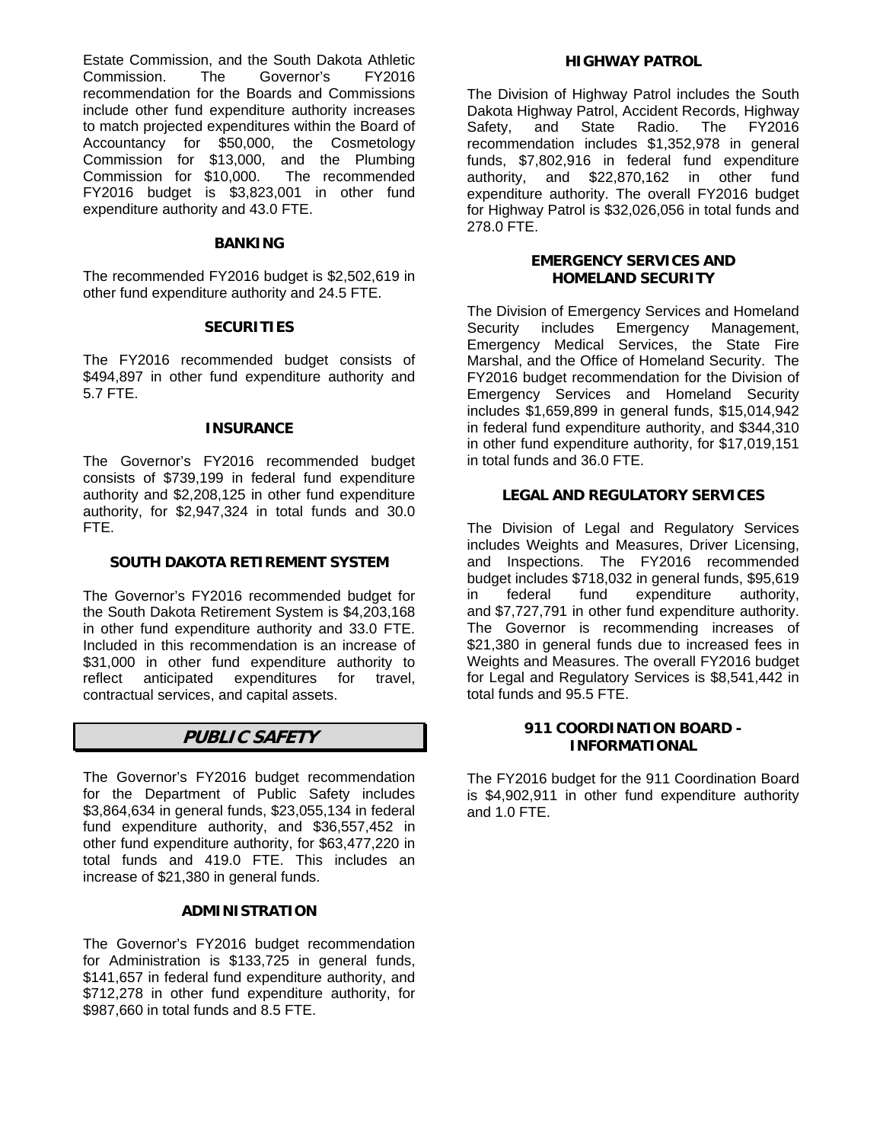Estate Commission, and the South Dakota Athletic Commission. The Governor's FY2016 recommendation for the Boards and Commissions include other fund expenditure authority increases to match projected expenditures within the Board of Accountancy for \$50,000, the Cosmetology Commission for \$13,000, and the Plumbing Commission for \$10,000. The recommended FY2016 budget is \$3,823,001 in other fund expenditure authority and 43.0 FTE.

#### **BANKING**

The recommended FY2016 budget is \$2,502,619 in other fund expenditure authority and 24.5 FTE.

### **SECURITIES**

The FY2016 recommended budget consists of \$494,897 in other fund expenditure authority and 5.7 FTE.

### **INSURANCE**

The Governor's FY2016 recommended budget consists of \$739,199 in federal fund expenditure authority and \$2,208,125 in other fund expenditure authority, for \$2,947,324 in total funds and 30.0 FTE.

# **SOUTH DAKOTA RETIREMENT SYSTEM**

The Governor's FY2016 recommended budget for the South Dakota Retirement System is \$4,203,168 in other fund expenditure authority and 33.0 FTE. Included in this recommendation is an increase of \$31,000 in other fund expenditure authority to reflect anticipated expenditures for travel. reflect anticipated expenditures for travel, contractual services, and capital assets.

# **PUBLIC SAFETY**

The Governor's FY2016 budget recommendation for the Department of Public Safety includes \$3,864,634 in general funds, \$23,055,134 in federal fund expenditure authority, and \$36,557,452 in other fund expenditure authority, for \$63,477,220 in total funds and 419.0 FTE. This includes an increase of \$21,380 in general funds.

### **ADMINISTRATION**

The Governor's FY2016 budget recommendation for Administration is \$133,725 in general funds, \$141,657 in federal fund expenditure authority, and \$712,278 in other fund expenditure authority, for \$987,660 in total funds and 8.5 FTE.

#### **HIGHWAY PATROL**

The Division of Highway Patrol includes the South Dakota Highway Patrol, Accident Records, Highway Safety, and State Radio. The FY2016 recommendation includes \$1,352,978 in general funds, \$7,802,916 in federal fund expenditure authority, and \$22,870,162 in other fund expenditure authority. The overall FY2016 budget for Highway Patrol is \$32,026,056 in total funds and 278.0 FTE.

# **EMERGENCY SERVICES AND HOMELAND SECURITY**

The Division of Emergency Services and Homeland Security includes Emergency Management, Emergency Medical Services, the State Fire Marshal, and the Office of Homeland Security. The FY2016 budget recommendation for the Division of Emergency Services and Homeland Security includes \$1,659,899 in general funds, \$15,014,942 in federal fund expenditure authority, and \$344,310 in other fund expenditure authority, for \$17,019,151 in total funds and 36.0 FTE.

# **LEGAL AND REGULATORY SERVICES**

The Division of Legal and Regulatory Services includes Weights and Measures, Driver Licensing, and Inspections. The FY2016 recommended budget includes \$718,032 in general funds, \$95,619 in federal fund expenditure authority, and \$7,727,791 in other fund expenditure authority. The Governor is recommending increases of \$21,380 in general funds due to increased fees in Weights and Measures. The overall FY2016 budget for Legal and Regulatory Services is \$8,541,442 in total funds and 95.5 FTE.

# **911 COORDINATION BOARD - INFORMATIONAL**

The FY2016 budget for the 911 Coordination Board is \$4,902,911 in other fund expenditure authority and 1.0 FTE.